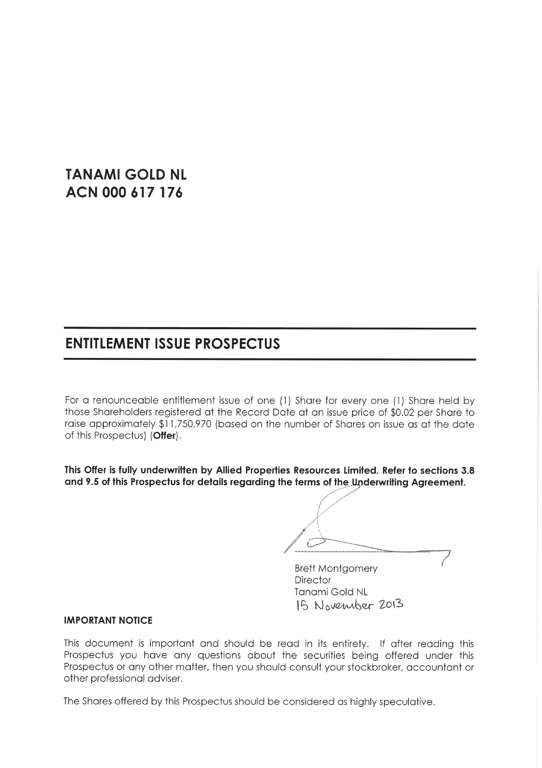# **TANAMI GOLD NL** ACN 000 617 176

# **ENTITLEMENT ISSUE PROSPECTUS**

For a renounceable entitlement issue of one (1) Share for every one (1) Share held by those Shareholders registered at the Record Date at an issue price of \$0.02 per Share to raise approximately \$11,750,970 (based on the number of Shares on issue as at the date of this Prospectus) (Offer).

This Offer is fully underwritten by Allied Properties Resources Limited. Refer to sections 3.8 and 9.5 of this Prospectus for details regarding the terms of the Underwriting Agreement.

**Brett Montgomery Director** Tanami Gold NL 15 November 2013

#### **IMPORTANT NOTICE**

This document is important and should be read in its entirety. If after reading this Prospectus you have any questions about the securities being offered under this Prospectus or any other matter, then you should consult your stockbroker, accountant or other professional adviser.

The Shares offered by this Prospectus should be considered as highly speculative.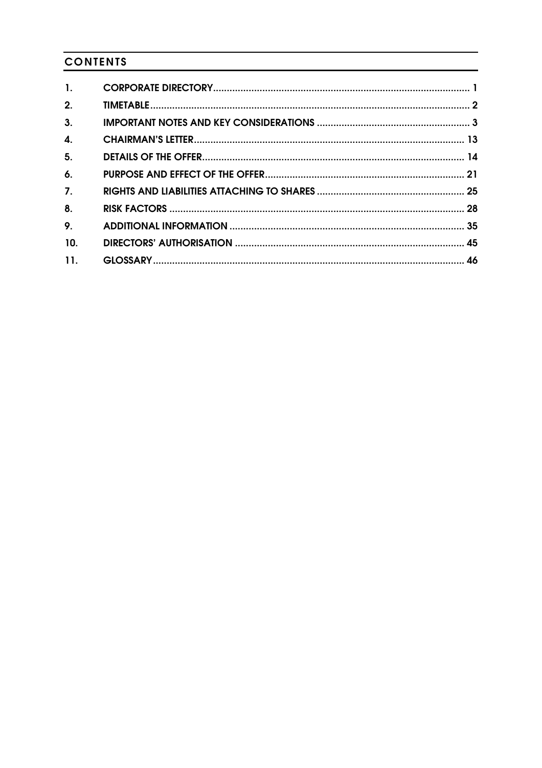## **CONTENTS**

| $\mathbf{1}$ .            |  |
|---------------------------|--|
|                           |  |
| 2.                        |  |
| 3.                        |  |
| $\overline{\mathbf{4}}$ . |  |
| 5 <sub>1</sub>            |  |
| 6.                        |  |
| $\overline{7}$ .          |  |
| 8.                        |  |
| 9.                        |  |
| 10.                       |  |
| 11.                       |  |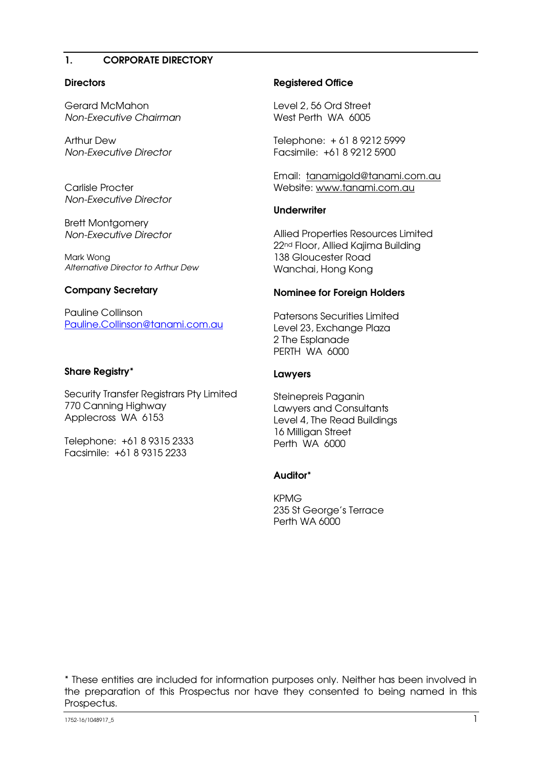### 1. CORPORATE DIRECTORY

#### **Directors**

Gerard McMahon Non-Executive Chairman

Arthur Dew Non-Executive Director

Carlisle Procter Non-Executive Director

Brett Montgomery Non-Executive Director

Mark Wong Alternative Director to Arthur Dew

#### Company Secretary

Pauline Collinson Pauline.Collinson@tanami.com.au

### Share Registry\*

Security Transfer Registrars Pty Limited 770 Canning Highway Applecross WA 6153

Telephone: +61 8 9315 2333 Facsimile: +61 8 9315 2233

### Registered Office

Level 2, 56 Ord Street West Perth WA 6005

Telephone: + 61 8 9212 5999 Facsimile: +61 8 9212 5900

Email: tanamigold@tanami.com.au Website: www.tanami.com.au

#### **Underwriter**

Allied Properties Resources Limited 22nd Floor, Allied Kajima Building 138 Gloucester Road Wanchai, Hong Kong

#### Nominee for Foreign Holders

Patersons Securities Limited Level 23, Exchange Plaza 2 The Esplanade PERTH WA 6000

### Lawyers

Steinepreis Paganin Lawyers and Consultants Level 4, The Read Buildings 16 Milligan Street Perth WA 6000

### Auditor\*

KPMG 235 St George's Terrace Perth WA 6000

\* These entities are included for information purposes only. Neither has been involved in the preparation of this Prospectus nor have they consented to being named in this Prospectus.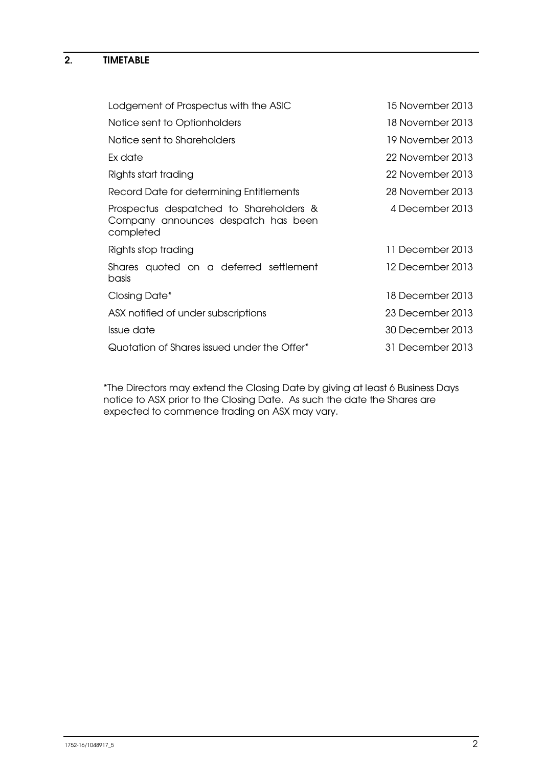### 2. TIMETABLE

| 15 November 2013 |
|------------------|
| 18 November 2013 |
| 19 November 2013 |
| 22 November 2013 |
| 22 November 2013 |
| 28 November 2013 |
| 4 December 2013  |
| 11 December 2013 |
| 12 December 2013 |
| 18 December 2013 |
| 23 December 2013 |
| 30 December 2013 |
| 31 December 2013 |
|                  |

\*The Directors may extend the Closing Date by giving at least 6 Business Days notice to ASX prior to the Closing Date. As such the date the Shares are expected to commence trading on ASX may vary.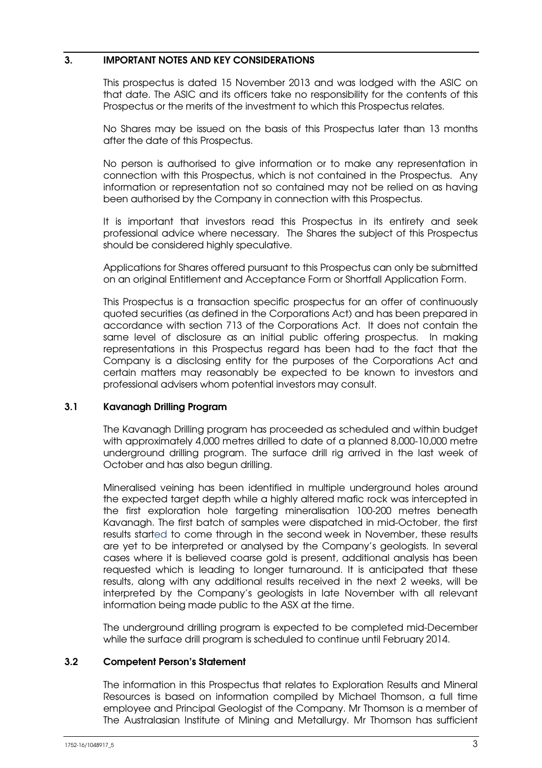### 3. IMPORTANT NOTES AND KEY CONSIDERATIONS

This prospectus is dated 15 November 2013 and was lodged with the ASIC on that date. The ASIC and its officers take no responsibility for the contents of this Prospectus or the merits of the investment to which this Prospectus relates.

No Shares may be issued on the basis of this Prospectus later than 13 months after the date of this Prospectus.

No person is authorised to give information or to make any representation in connection with this Prospectus, which is not contained in the Prospectus. Any information or representation not so contained may not be relied on as having been authorised by the Company in connection with this Prospectus.

It is important that investors read this Prospectus in its entirety and seek professional advice where necessary. The Shares the subject of this Prospectus should be considered highly speculative.

Applications for Shares offered pursuant to this Prospectus can only be submitted on an original Entitlement and Acceptance Form or Shortfall Application Form.

This Prospectus is a transaction specific prospectus for an offer of continuously quoted securities (as defined in the Corporations Act) and has been prepared in accordance with section 713 of the Corporations Act. It does not contain the same level of disclosure as an initial public offering prospectus. In making representations in this Prospectus regard has been had to the fact that the Company is a disclosing entity for the purposes of the Corporations Act and certain matters may reasonably be expected to be known to investors and professional advisers whom potential investors may consult.

### 3.1 Kavanagh Drilling Program

The Kavanagh Drilling program has proceeded as scheduled and within budget with approximately 4,000 metres drilled to date of a planned 8,000-10,000 metre underground drilling program. The surface drill rig arrived in the last week of October and has also begun drilling.

Mineralised veining has been identified in multiple underground holes around the expected target depth while a highly altered mafic rock was intercepted in the first exploration hole targeting mineralisation 100-200 metres beneath Kavanagh. The first batch of samples were dispatched in mid-October, the first results started to come through in the second week in November, these results are yet to be interpreted or analysed by the Company's geologists. In several cases where it is believed coarse gold is present, additional analysis has been requested which is leading to longer turnaround. It is anticipated that these results, along with any additional results received in the next 2 weeks, will be interpreted by the Company's geologists in late November with all relevant information being made public to the ASX at the time.

The underground drilling program is expected to be completed mid-December while the surface drill program is scheduled to continue until February 2014.

### 3.2 Competent Person's Statement

The information in this Prospectus that relates to Exploration Results and Mineral Resources is based on information compiled by Michael Thomson, a full time employee and Principal Geologist of the Company. Mr Thomson is a member of The Australasian Institute of Mining and Metallurgy. Mr Thomson has sufficient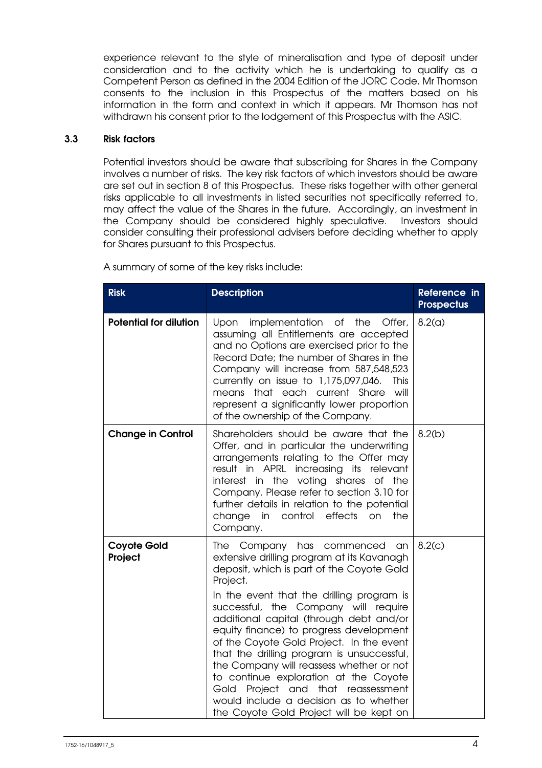experience relevant to the style of mineralisation and type of deposit under consideration and to the activity which he is undertaking to qualify as a Competent Person as defined in the 2004 Edition of the JORC Code. Mr Thomson consents to the inclusion in this Prospectus of the matters based on his information in the form and context in which it appears. Mr Thomson has not withdrawn his consent prior to the lodgement of this Prospectus with the ASIC.

### 3.3 Risk factors

Potential investors should be aware that subscribing for Shares in the Company involves a number of risks. The key risk factors of which investors should be aware are set out in section 8 of this Prospectus. These risks together with other general risks applicable to all investments in listed securities not specifically referred to, may affect the value of the Shares in the future. Accordingly, an investment in the Company should be considered highly speculative. Investors should consider consulting their professional advisers before deciding whether to apply for Shares pursuant to this Prospectus.

| <b>Risk</b>                   | <b>Description</b>                                                                                                                                                                                                                                                                                                                                                                                                                                                                                                                                                                                                                       | Reference in<br><b>Prospectus</b> |
|-------------------------------|------------------------------------------------------------------------------------------------------------------------------------------------------------------------------------------------------------------------------------------------------------------------------------------------------------------------------------------------------------------------------------------------------------------------------------------------------------------------------------------------------------------------------------------------------------------------------------------------------------------------------------------|-----------------------------------|
| <b>Potential for dilution</b> | <b>Upon</b><br>implementation of the<br>Offer,<br>assuming all Entitlements are accepted<br>and no Options are exercised prior to the<br>Record Date; the number of Shares in the<br>Company will increase from 587,548,523<br>currently on issue to 1,175,097,046.<br>This<br>means that each current Share<br>will<br>represent a significantly lower proportion<br>of the ownership of the Company.                                                                                                                                                                                                                                   | 8.2(a)                            |
| <b>Change in Control</b>      | Shareholders should be aware that the<br>Offer, and in particular the underwriting<br>arrangements relating to the Offer may<br>result in APRL increasing its relevant<br>interest in the voting shares of the<br>Company. Please refer to section 3.10 for<br>further details in relation to the potential<br>change<br>in<br>control<br>effects<br>on<br>the<br>Company.                                                                                                                                                                                                                                                               | 8.2(b)                            |
| <b>Coyote Gold</b><br>Project | Company has commenced<br>The<br>an.<br>extensive drilling program at its Kavanagh<br>deposit, which is part of the Coyote Gold<br>Project.<br>In the event that the drilling program is<br>successful, the Company will require<br>additional capital (through debt and/or<br>equity finance) to progress development<br>of the Coyote Gold Project. In the event<br>that the drilling program is unsuccessful,<br>the Company will reassess whether or not<br>to continue exploration at the Coyote<br>Project and<br>that<br>Gold<br>reassessment<br>would include a decision as to whether<br>the Coyote Gold Project will be kept on | 8.2(c)                            |

A summary of some of the key risks include: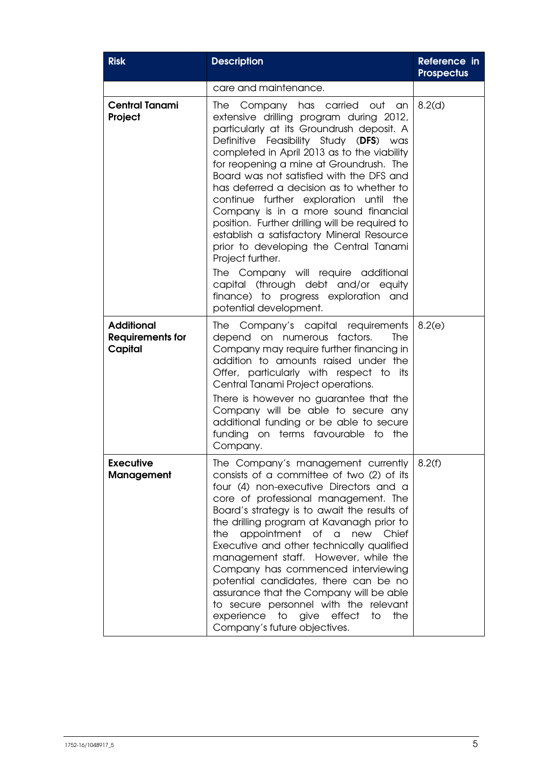| <b>Risk</b>                                             | <b>Description</b>                                                                                                                                                                                                                                                                                                                                                                                                                                                                                                                                                                                                                                  | Reference in<br><b>Prospectus</b> |
|---------------------------------------------------------|-----------------------------------------------------------------------------------------------------------------------------------------------------------------------------------------------------------------------------------------------------------------------------------------------------------------------------------------------------------------------------------------------------------------------------------------------------------------------------------------------------------------------------------------------------------------------------------------------------------------------------------------------------|-----------------------------------|
|                                                         | care and maintenance.                                                                                                                                                                                                                                                                                                                                                                                                                                                                                                                                                                                                                               |                                   |
| <b>Central Tanami</b><br>Project                        | Company has carried out an<br><b>The</b><br>extensive drilling program during 2012,<br>particularly at its Groundrush deposit. A<br>Definitive Feasibility Study (DFS) was<br>completed in April 2013 as to the viability<br>for reopening a mine at Groundrush. The<br>Board was not satisfied with the DFS and<br>has deferred a decision as to whether to<br>continue further exploration until the<br>Company is in a more sound financial<br>position. Further drilling will be required to<br>establish a satisfactory Mineral Resource<br>prior to developing the Central Tanami<br>Project further.                                         | 8.2(d)                            |
|                                                         | The Company will require additional<br>capital (through debt and/or equity<br>finance) to progress exploration and<br>potential development.                                                                                                                                                                                                                                                                                                                                                                                                                                                                                                        |                                   |
| <b>Additional</b><br><b>Requirements for</b><br>Capital | Company's capital requirements<br>The I<br>depend on numerous factors.<br>The<br>Company may require further financing in<br>addition to amounts raised under the<br>Offer, particularly with respect to its<br>Central Tanami Project operations.<br>There is however no guarantee that the<br>Company will be able to secure any<br>additional funding or be able to secure<br>funding on terms favourable to the<br>Company.                                                                                                                                                                                                                     | 8.2(e)                            |
| <b>Executive</b><br><b>Management</b>                   | The Company's management currently<br>consists of a committee of two (2) of its<br>four (4) non-executive Directors and a<br>core of professional management. The<br>Board's strategy is to await the results of<br>the drilling program at Kavanagh prior to<br>appointment<br>of a<br>the<br>new<br>Chief<br>Executive and other technically qualified<br>management staff. However, while the<br>Company has commenced interviewing<br>potential candidates, there can be no<br>assurance that the Company will be able<br>to secure personnel with the relevant<br>experience<br>to give<br>effect<br>to<br>the<br>Company's future objectives. | 8.2(f)                            |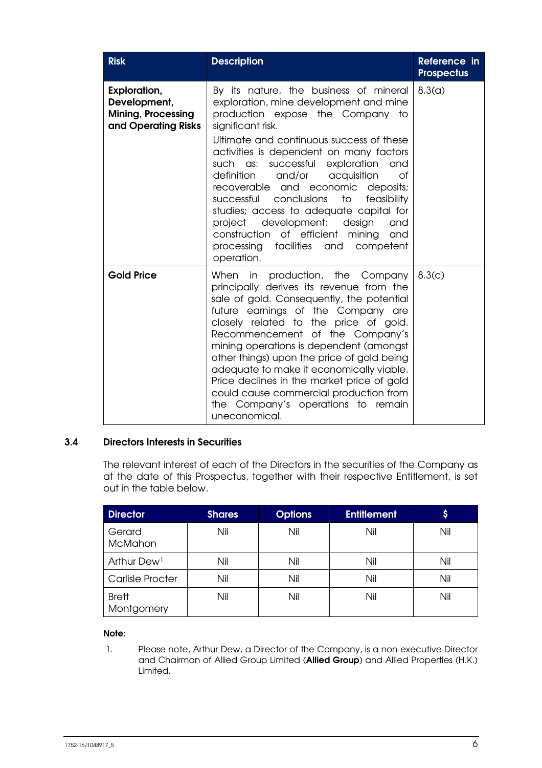| <b>Risk</b>                                                                             | <b>Description</b>                                                                                                                                                                                                                                                                                                                                                                                                                                                                                                                                                                                     | Reference in<br><b>Prospectus</b> |
|-----------------------------------------------------------------------------------------|--------------------------------------------------------------------------------------------------------------------------------------------------------------------------------------------------------------------------------------------------------------------------------------------------------------------------------------------------------------------------------------------------------------------------------------------------------------------------------------------------------------------------------------------------------------------------------------------------------|-----------------------------------|
| <b>Exploration,</b><br>Development,<br><b>Mining, Processing</b><br>and Operating Risks | By its nature, the business of mineral<br>exploration, mine development and mine<br>production expose the Company to<br>significant risk.<br>Ultimate and continuous success of these<br>activities is dependent on many factors<br>such as: successful<br>exploration<br>and<br>definition<br>and/or acquisition<br>Ωf<br>recoverable and economic<br>deposits;<br>successful conclusions<br>to<br>feasibility<br>studies; access to adequate capital for<br>development; design<br>project<br>and<br>construction of efficient<br>mining<br>and<br>processing facilities and competent<br>operation. | 8.3(a)                            |
| <b>Gold Price</b>                                                                       | When in production, the Company<br>principally derives its revenue from the<br>sale of gold. Consequently, the potential<br>future earnings of the Company are<br>closely related to the price of gold.<br>Recommencement of the Company's<br>mining operations is dependent (amongst<br>other things) upon the price of gold being<br>adequate to make it economically viable.<br>Price declines in the market price of gold<br>could cause commercial production from<br>the Company's operations to remain<br>uneconomical.                                                                         | 8.3(c)                            |

### 3.4 Directors Interests in Securities

The relevant interest of each of the Directors in the securities of the Company as at the date of this Prospectus, together with their respective Entitlement, is set out in the table below.

| <b>Director</b>            | <b>Shares</b> | <b>Options</b> | <b>Entitlement</b> | \$  |
|----------------------------|---------------|----------------|--------------------|-----|
| Gerard<br><b>McMahon</b>   | Nil           | Nil            | Nil                | Nil |
| Arthur Dew <sup>1</sup>    | Nil           | Nil            | Nil                | Nil |
| <b>Carlisle Procter</b>    | Nil           | Nil            | Nil                | Nil |
| <b>Brett</b><br>Montgomery | Nil           | Nil            | Nil                | Nil |

### Note:

1. Please note, Arthur Dew, a Director of the Company, is a non-executive Director and Chairman of Allied Group Limited (Allied Group) and Allied Properties (H.K.) Limited.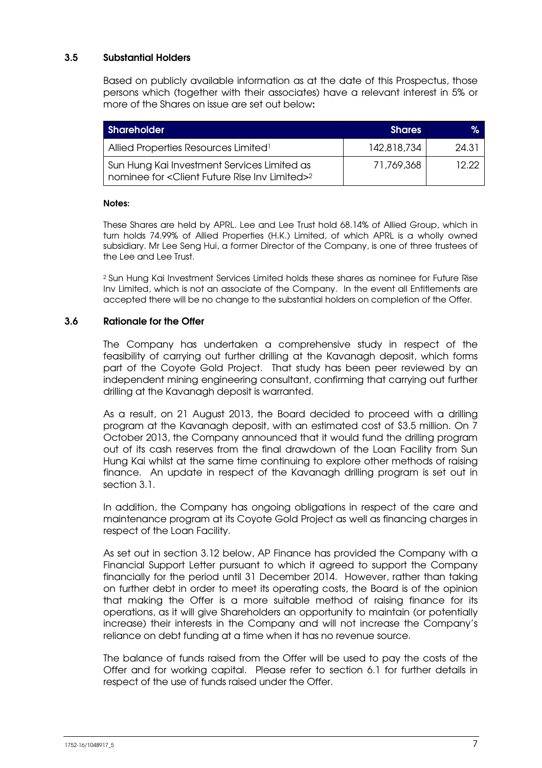### 3.5 Substantial Holders

Based on publicly available information as at the date of this Prospectus, those persons which (together with their associates) have a relevant interest in 5% or more of the Shares on issue are set out below:

| <b>Shareholder</b>                                                                            | <b>Shares</b> | ℅     |
|-----------------------------------------------------------------------------------------------|---------------|-------|
| Allied Properties Resources Limited <sup>1</sup>                                              | 142,818,734   | 24.31 |
| Sun Hung Kai Investment Services Limited as<br>nominee for < Client Future Rise Inv Limited>2 | 71.769.368    | 12.22 |

#### Notes:

These Shares are held by APRL. Lee and Lee Trust hold 68.14% of Allied Group, which in turn holds 74.99% of Allied Properties (H.K.) Limited, of which APRL is a wholly owned subsidiary. Mr Lee Seng Hui, a former Director of the Company, is one of three trustees of the Lee and Lee Trust.

<sup>2</sup> Sun Hung Kai Investment Services Limited holds these shares as nominee for Future Rise Inv Limited, which is not an associate of the Company. In the event all Entitlements are accepted there will be no change to the substantial holders on completion of the Offer.

### 3.6 Rationale for the Offer

The Company has undertaken a comprehensive study in respect of the feasibility of carrying out further drilling at the Kavanagh deposit, which forms part of the Coyote Gold Project. That study has been peer reviewed by an independent mining engineering consultant, confirming that carrying out further drilling at the Kavanagh deposit is warranted.

As a result, on 21 August 2013, the Board decided to proceed with a drilling program at the Kavanagh deposit, with an estimated cost of \$3.5 million. On 7 October 2013, the Company announced that it would fund the drilling program out of its cash reserves from the final drawdown of the Loan Facility from Sun Hung Kai whilst at the same time continuing to explore other methods of raising finance. An update in respect of the Kavanagh drilling program is set out in section 3.1.

In addition, the Company has ongoing obligations in respect of the care and maintenance program at its Coyote Gold Project as well as financing charges in respect of the Loan Facility.

As set out in section 3.12 below, AP Finance has provided the Company with a Financial Support Letter pursuant to which it agreed to support the Company financially for the period until 31 December 2014. However, rather than taking on further debt in order to meet its operating costs, the Board is of the opinion that making the Offer is a more suitable method of raising finance for its operations, as it will give Shareholders an opportunity to maintain (or potentially increase) their interests in the Company and will not increase the Company's reliance on debt funding at a time when it has no revenue source.

The balance of funds raised from the Offer will be used to pay the costs of the Offer and for working capital. Please refer to section 6.1 for further details in respect of the use of funds raised under the Offer.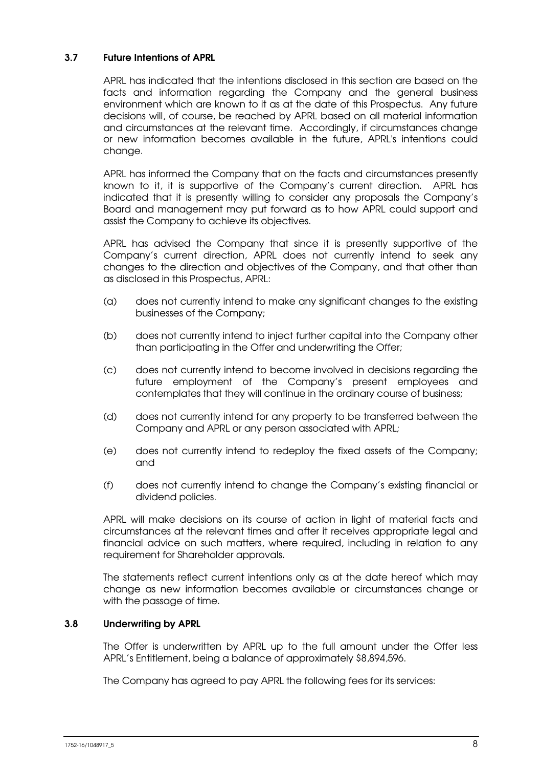### 3.7 Future Intentions of APRL

APRL has indicated that the intentions disclosed in this section are based on the facts and information regarding the Company and the general business environment which are known to it as at the date of this Prospectus. Any future decisions will, of course, be reached by APRL based on all material information and circumstances at the relevant time. Accordingly, if circumstances change or new information becomes available in the future, APRL's intentions could change.

APRL has informed the Company that on the facts and circumstances presently known to it, it is supportive of the Company's current direction. APRL has indicated that it is presently willing to consider any proposals the Company's Board and management may put forward as to how APRL could support and assist the Company to achieve its objectives.

APRL has advised the Company that since it is presently supportive of the Company's current direction, APRL does not currently intend to seek any changes to the direction and objectives of the Company, and that other than as disclosed in this Prospectus, APRL:

- (a) does not currently intend to make any significant changes to the existing businesses of the Company;
- (b) does not currently intend to inject further capital into the Company other than participating in the Offer and underwriting the Offer;
- (c) does not currently intend to become involved in decisions regarding the future employment of the Company's present employees and contemplates that they will continue in the ordinary course of business;
- (d) does not currently intend for any property to be transferred between the Company and APRL or any person associated with APRL;
- (e) does not currently intend to redeploy the fixed assets of the Company; and
- (f) does not currently intend to change the Company's existing financial or dividend policies.

APRL will make decisions on its course of action in light of material facts and circumstances at the relevant times and after it receives appropriate legal and financial advice on such matters, where required, including in relation to any requirement for Shareholder approvals.

The statements reflect current intentions only as at the date hereof which may change as new information becomes available or circumstances change or with the passage of time.

### 3.8 Underwriting by APRL

The Offer is underwritten by APRL up to the full amount under the Offer less APRL's Entitlement, being a balance of approximately \$8,894,596.

The Company has agreed to pay APRL the following fees for its services: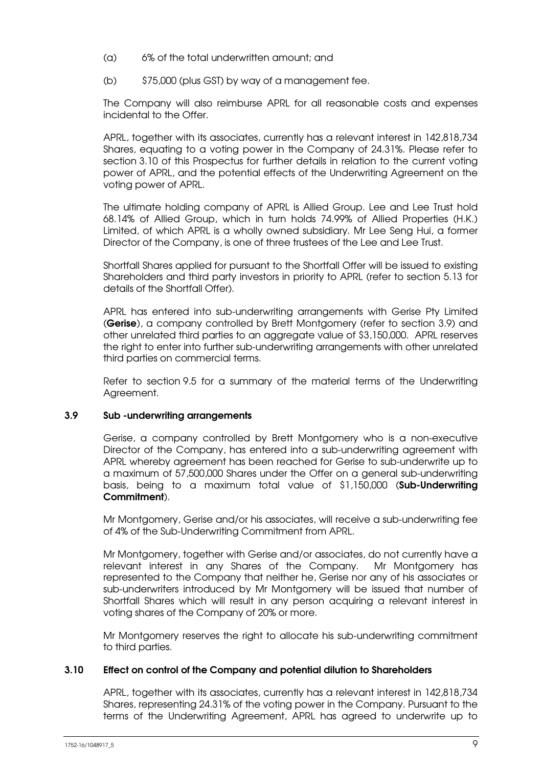- (a) 6% of the total underwritten amount; and
- (b) \$75,000 (plus GST) by way of a management fee.

The Company will also reimburse APRL for all reasonable costs and expenses incidental to the Offer.

APRL, together with its associates, currently has a relevant interest in 142,818,734 Shares, equating to a voting power in the Company of 24.31%. Please refer to section 3.10 of this Prospectus for further details in relation to the current voting power of APRL, and the potential effects of the Underwriting Agreement on the voting power of APRL.

The ultimate holding company of APRL is Allied Group. Lee and Lee Trust hold 68.14% of Allied Group, which in turn holds 74.99% of Allied Properties (H.K.) Limited, of which APRL is a wholly owned subsidiary. Mr Lee Seng Hui, a former Director of the Company, is one of three trustees of the Lee and Lee Trust.

Shortfall Shares applied for pursuant to the Shortfall Offer will be issued to existing Shareholders and third party investors in priority to APRL (refer to section 5.13 for details of the Shortfall Offer).

APRL has entered into sub-underwriting arrangements with Gerise Pty Limited (Gerise), a company controlled by Brett Montgomery (refer to section 3.9) and other unrelated third parties to an aggregate value of \$3,150,000. APRL reserves the right to enter into further sub-underwriting arrangements with other unrelated third parties on commercial terms.

Refer to section 9.5 for a summary of the material terms of the Underwriting Agreement.

### 3.9 Sub -underwriting arrangements

Gerise, a company controlled by Brett Montgomery who is a non-executive Director of the Company, has entered into a sub-underwriting agreement with APRL whereby agreement has been reached for Gerise to sub-underwrite up to a maximum of 57,500,000 Shares under the Offer on a general sub-underwriting basis, being to a maximum total value of \$1,150,000 (Sub-Underwriting Commitment).

Mr Montgomery, Gerise and/or his associates, will receive a sub-underwriting fee of 4% of the Sub-Underwriting Commitment from APRL.

Mr Montgomery, together with Gerise and/or associates, do not currently have a relevant interest in any Shares of the Company. Mr Montgomery has represented to the Company that neither he, Gerise nor any of his associates or sub-underwriters introduced by Mr Montgomery will be issued that number of Shortfall Shares which will result in any person acquiring a relevant interest in voting shares of the Company of 20% or more.

Mr Montgomery reserves the right to allocate his sub-underwriting commitment to third parties.

### 3.10 Effect on control of the Company and potential dilution to Shareholders

APRL, together with its associates, currently has a relevant interest in 142,818,734 Shares, representing 24.31% of the voting power in the Company. Pursuant to the terms of the Underwriting Agreement, APRL has agreed to underwrite up to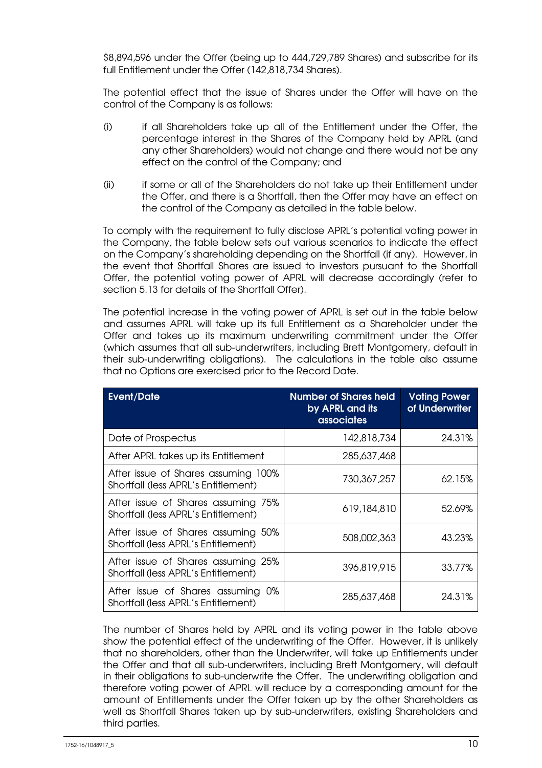\$8,894,596 under the Offer (being up to 444,729,789 Shares) and subscribe for its full Entitlement under the Offer (142,818,734 Shares).

The potential effect that the issue of Shares under the Offer will have on the control of the Company is as follows:

- (i) if all Shareholders take up all of the Entitlement under the Offer, the percentage interest in the Shares of the Company held by APRL (and any other Shareholders) would not change and there would not be any effect on the control of the Company; and
- (ii) if some or all of the Shareholders do not take up their Entitlement under the Offer, and there is a Shortfall, then the Offer may have an effect on the control of the Company as detailed in the table below.

To comply with the requirement to fully disclose APRL's potential voting power in the Company, the table below sets out various scenarios to indicate the effect on the Company's shareholding depending on the Shortfall (if any). However, in the event that Shortfall Shares are issued to investors pursuant to the Shortfall Offer, the potential voting power of APRL will decrease accordingly (refer to section 5.13 for details of the Shortfall Offer).

The potential increase in the voting power of APRL is set out in the table below and assumes APRL will take up its full Entitlement as a Shareholder under the Offer and takes up its maximum underwriting commitment under the Offer (which assumes that all sub-underwriters, including Brett Montgomery, default in their sub-underwriting obligations). The calculations in the table also assume that no Options are exercised prior to the Record Date.

| <b>Event/Date</b>                                                           | <b>Number of Shares held</b><br>by APRL and its<br><b>associates</b> | <b>Voting Power</b><br>of Underwriter |
|-----------------------------------------------------------------------------|----------------------------------------------------------------------|---------------------------------------|
| Date of Prospectus                                                          | 142,818,734                                                          | 24.31%                                |
| After APRL takes up its Entitlement                                         | 285,637,468                                                          |                                       |
| After issue of Shares assuming 100%<br>Shortfall (less APRL's Entitlement)  | 730,367,257                                                          | 62.15%                                |
| After issue of Shares assuming 75%<br>Shortfall (less APRL's Entitlement)   | 619,184,810                                                          | 52.69%                                |
| After issue of Shares assuming 50%<br>Shortfall (less APRL's Entitlement)   | 508,002,363                                                          | 43.23%                                |
| After issue of Shares assuming 25%<br>Shortfall (less APRL's Entitlement)   | 396,819,915                                                          | 33.77%                                |
| After issue of Shares assuming<br>0%<br>Shortfall (less APRL's Entitlement) | 285,637,468                                                          | 24.31%                                |

The number of Shares held by APRL and its voting power in the table above show the potential effect of the underwriting of the Offer. However, it is unlikely that no shareholders, other than the Underwriter, will take up Entitlements under the Offer and that all sub-underwriters, including Brett Montgomery, will default in their obligations to sub-underwrite the Offer. The underwriting obligation and therefore voting power of APRL will reduce by a corresponding amount for the amount of Entitlements under the Offer taken up by the other Shareholders as well as Shortfall Shares taken up by sub-underwriters, existing Shareholders and third parties.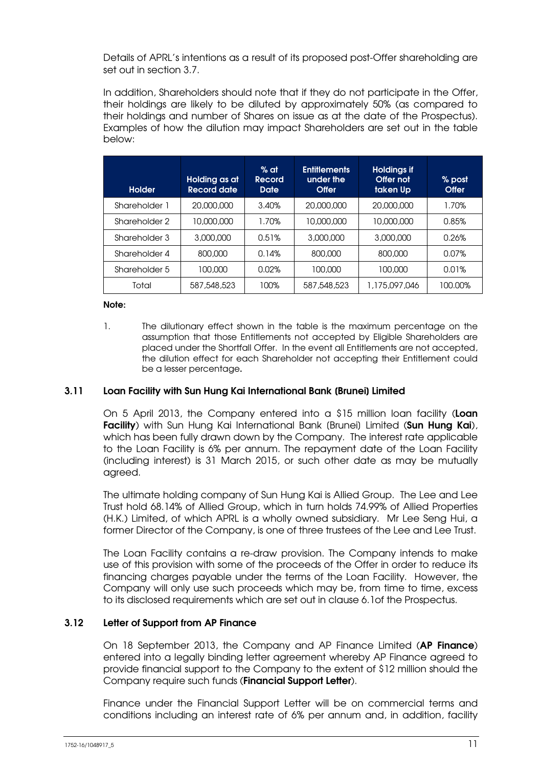Details of APRL's intentions as a result of its proposed post-Offer shareholding are set out in section 3.7.

In addition, Shareholders should note that if they do not participate in the Offer, their holdings are likely to be diluted by approximately 50% (as compared to their holdings and number of Shares on issue as at the date of the Prospectus). Examples of how the dilution may impact Shareholders are set out in the table below:

| <b>Holder</b> | Holding as at<br><b>Record date</b> | $%$ at<br>Record<br><b>Date</b> | <b>Entitlements</b><br>under the<br><b>Offer</b> | <b>Holdings if</b><br>Offer not<br>taken Up | % post<br><b>Offer</b> |
|---------------|-------------------------------------|---------------------------------|--------------------------------------------------|---------------------------------------------|------------------------|
| Shareholder 1 | 20,000,000                          | 3.40%                           | 20,000,000                                       | 20,000,000                                  | 1.70%                  |
| Shareholder 2 | 10.000.000                          | 1.70%                           | 10,000,000                                       | 10,000,000                                  | 0.85%                  |
| Shareholder 3 | 3,000,000                           | 0.51%                           | 3,000,000                                        | 3,000,000                                   | 0.26%                  |
| Shareholder 4 | 800.000                             | 0.14%                           | 800,000                                          | 800,000                                     | 0.07%                  |
| Shareholder 5 | 100.000                             | 0.02%                           | 100.000                                          | 100.000                                     | 0.01%                  |
| Total         | 587,548,523                         | 100%                            | 587,548,523                                      | 1,175,097,046                               | 100.00%                |

#### Note:

1. The dilutionary effect shown in the table is the maximum percentage on the assumption that those Entitlements not accepted by Eligible Shareholders are placed under the Shortfall Offer. In the event all Entitlements are not accepted, the dilution effect for each Shareholder not accepting their Entitlement could be a lesser percentage.

### 3.11 Loan Facility with Sun Hung Kai International Bank [Brunei] Limited

On 5 April 2013, the Company entered into a \$15 million loan facility (Loan Facility) with Sun Hung Kai International Bank (Brunei) Limited (Sun Hung Kai), which has been fully drawn down by the Company. The interest rate applicable to the Loan Facility is 6% per annum. The repayment date of the Loan Facility (including interest) is 31 March 2015, or such other date as may be mutually agreed.

The ultimate holding company of Sun Hung Kai is Allied Group. The Lee and Lee Trust hold 68.14% of Allied Group, which in turn holds 74.99% of Allied Properties (H.K.) Limited, of which APRL is a wholly owned subsidiary. Mr Lee Seng Hui, a former Director of the Company, is one of three trustees of the Lee and Lee Trust.

 The Loan Facility contains a re-draw provision. The Company intends to make use of this provision with some of the proceeds of the Offer in order to reduce its financing charges payable under the terms of the Loan Facility. However, the Company will only use such proceeds which may be, from time to time, excess to its disclosed requirements which are set out in clause 6.1of the Prospectus.

### 3.12 Letter of Support from AP Finance

On 18 September 2013, the Company and AP Finance Limited (AP Finance) entered into a legally binding letter agreement whereby AP Finance agreed to provide financial support to the Company to the extent of \$12 million should the Company require such funds (Financial Support Letter).

Finance under the Financial Support Letter will be on commercial terms and conditions including an interest rate of 6% per annum and, in addition, facility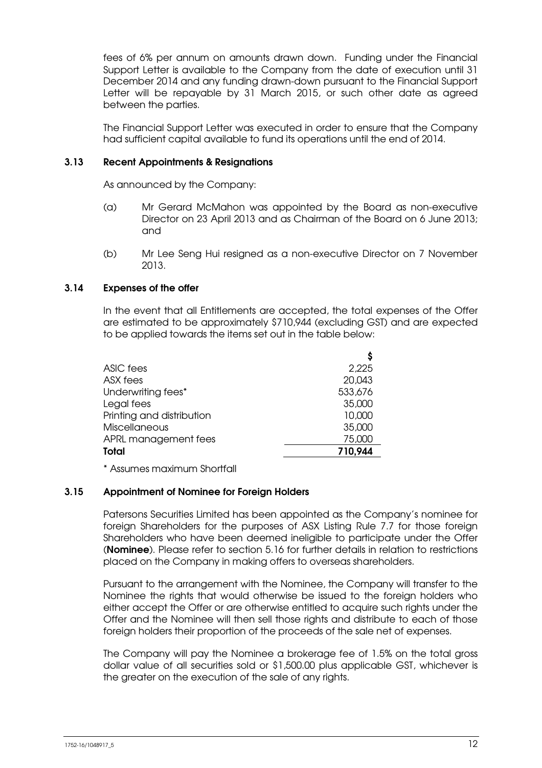fees of 6% per annum on amounts drawn down. Funding under the Financial Support Letter is available to the Company from the date of execution until 31 December 2014 and any funding drawn-down pursuant to the Financial Support Letter will be repayable by 31 March 2015, or such other date as agreed between the parties.

The Financial Support Letter was executed in order to ensure that the Company had sufficient capital available to fund its operations until the end of 2014.

### 3.13 Recent Appointments & Resignations

As announced by the Company:

- (a) Mr Gerard McMahon was appointed by the Board as non-executive Director on 23 April 2013 and as Chairman of the Board on 6 June 2013; and
- (b) Mr Lee Seng Hui resigned as a non-executive Director on 7 November 2013.

### 3.14 Expenses of the offer

In the event that all Entitlements are accepted, the total expenses of the Offer are estimated to be approximately \$710,944 (excluding GST) and are expected to be applied towards the items set out in the table below:

| ASIC fees                 | 2,225   |
|---------------------------|---------|
| ASX fees                  | 20,043  |
| Underwriting fees*        | 533,676 |
| Legal fees                | 35,000  |
| Printing and distribution | 10,000  |
| <b>Miscellaneous</b>      | 35,000  |
| APRL management fees      | 75,000  |
| Total                     | 710,944 |
|                           |         |

\* Assumes maximum Shortfall

### 3.15 Appointment of Nominee for Foreign Holders

Patersons Securities Limited has been appointed as the Company's nominee for foreign Shareholders for the purposes of ASX Listing Rule 7.7 for those foreign Shareholders who have been deemed ineligible to participate under the Offer (Nominee). Please refer to section 5.16 for further details in relation to restrictions placed on the Company in making offers to overseas shareholders.

Pursuant to the arrangement with the Nominee, the Company will transfer to the Nominee the rights that would otherwise be issued to the foreign holders who either accept the Offer or are otherwise entitled to acquire such rights under the Offer and the Nominee will then sell those rights and distribute to each of those foreign holders their proportion of the proceeds of the sale net of expenses.

The Company will pay the Nominee a brokerage fee of 1.5% on the total gross dollar value of all securities sold or \$1,500.00 plus applicable GST, whichever is the greater on the execution of the sale of any rights.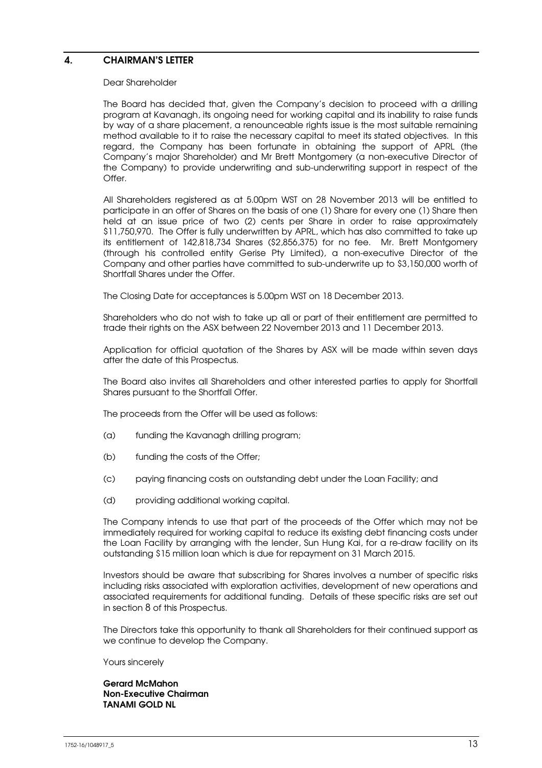### 4. CHAIRMAN'S LETTER

#### Dear Shareholder

The Board has decided that, given the Company's decision to proceed with a drilling program at Kavanagh, its ongoing need for working capital and its inability to raise funds by way of a share placement, a renounceable rights issue is the most suitable remaining method available to it to raise the necessary capital to meet its stated objectives. In this regard, the Company has been fortunate in obtaining the support of APRL (the Company's major Shareholder) and Mr Brett Montgomery (a non-executive Director of the Company) to provide underwriting and sub-underwriting support in respect of the Offer.

All Shareholders registered as at 5.00pm WST on 28 November 2013 will be entitled to participate in an offer of Shares on the basis of one (1) Share for every one (1) Share then held at an issue price of two (2) cents per Share in order to raise approximately \$11,750,970. The Offer is fully underwritten by APRL, which has also committed to take up its entitlement of 142,818,734 Shares (\$2,856,375) for no fee. Mr. Brett Montgomery (through his controlled entity Gerise Pty Limited), a non-executive Director of the Company and other parties have committed to sub-underwrite up to \$3,150,000 worth of Shortfall Shares under the Offer.

The Closing Date for acceptances is 5.00pm WST on 18 December 2013.

Shareholders who do not wish to take up all or part of their entitlement are permitted to trade their rights on the ASX between 22 November 2013 and 11 December 2013.

Application for official quotation of the Shares by ASX will be made within seven days after the date of this Prospectus.

The Board also invites all Shareholders and other interested parties to apply for Shortfall Shares pursuant to the Shortfall Offer.

The proceeds from the Offer will be used as follows:

- (a) funding the Kavanagh drilling program;
- (b) funding the costs of the Offer;
- (c) paying financing costs on outstanding debt under the Loan Facility; and
- (d) providing additional working capital.

The Company intends to use that part of the proceeds of the Offer which may not be immediately required for working capital to reduce its existing debt financing costs under the Loan Facility by arranging with the lender, Sun Hung Kai, for a re-draw facility on its outstanding \$15 million loan which is due for repayment on 31 March 2015.

Investors should be aware that subscribing for Shares involves a number of specific risks including risks associated with exploration activities, development of new operations and associated requirements for additional funding. Details of these specific risks are set out in section 8 of this Prospectus.

The Directors take this opportunity to thank all Shareholders for their continued support as we continue to develop the Company.

Yours sincerely

Gerard McMahon Non-Executive Chairman TANAMI GOLD NL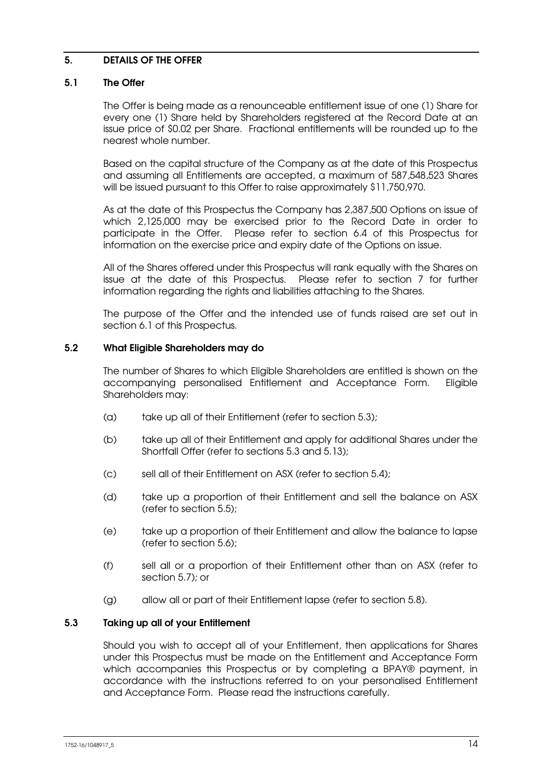### 5. DETAILS OF THE OFFER

### 5.1 The Offer

The Offer is being made as a renounceable entitlement issue of one (1) Share for every one (1) Share held by Shareholders registered at the Record Date at an issue price of \$0.02 per Share. Fractional entitlements will be rounded up to the nearest whole number.

Based on the capital structure of the Company as at the date of this Prospectus and assuming all Entitlements are accepted, a maximum of 587,548,523 Shares will be issued pursuant to this Offer to raise approximately \$11,750,970.

As at the date of this Prospectus the Company has 2,387,500 Options on issue of which 2,125,000 may be exercised prior to the Record Date in order to participate in the Offer. Please refer to section 6.4 of this Prospectus for information on the exercise price and expiry date of the Options on issue.

All of the Shares offered under this Prospectus will rank equally with the Shares on issue at the date of this Prospectus. Please refer to section 7 for further information regarding the rights and liabilities attaching to the Shares.

The purpose of the Offer and the intended use of funds raised are set out in section 6.1 of this Prospectus.

### 5.2 What Eligible Shareholders may do

The number of Shares to which Eligible Shareholders are entitled is shown on the accompanying personalised Entitlement and Acceptance Form. Eligible Shareholders may:

- (a) take up all of their Entitlement (refer to section 5.3);
- (b) take up all of their Entitlement and apply for additional Shares under the Shortfall Offer (refer to sections 5.3 and 5.13);
- (c) sell all of their Entitlement on ASX (refer to section 5.4);
- (d) take up a proportion of their Entitlement and sell the balance on ASX (refer to section 5.5);
- (e) take up a proportion of their Entitlement and allow the balance to lapse (refer to section 5.6);
- (f) sell all or a proportion of their Entitlement other than on ASX (refer to section 5.7); or
- (g) allow all or part of their Entitlement lapse (refer to section 5.8).

### 5.3 Taking up all of your Entitlement

Should you wish to accept all of your Entitlement, then applications for Shares under this Prospectus must be made on the Entitlement and Acceptance Form which accompanies this Prospectus or by completing a BPAY® payment, in accordance with the instructions referred to on your personalised Entitlement and Acceptance Form. Please read the instructions carefully.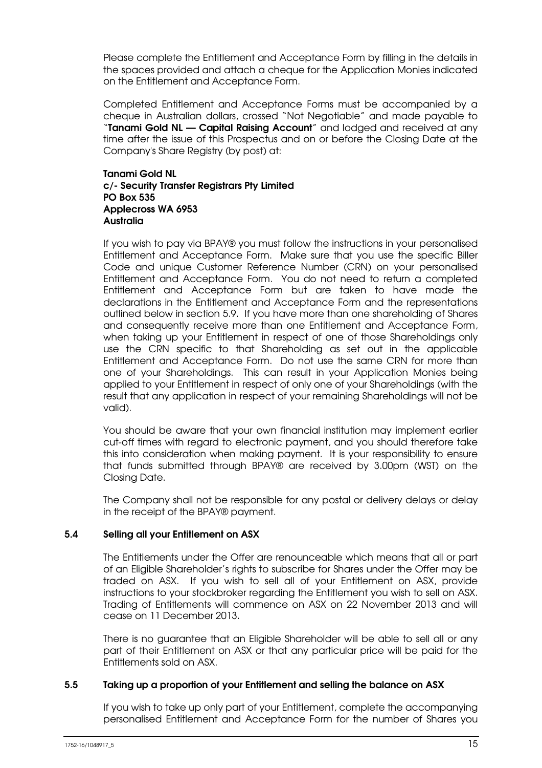Please complete the Entitlement and Acceptance Form by filling in the details in the spaces provided and attach a cheque for the Application Monies indicated on the Entitlement and Acceptance Form.

Completed Entitlement and Acceptance Forms must be accompanied by a cheque in Australian dollars, crossed "Not Negotiable" and made payable to "Tanami Gold NL - Capital Raising Account" and lodged and received at any time after the issue of this Prospectus and on or before the Closing Date at the Company's Share Registry (by post) at:

### Tanami Gold NL c/- Security Transfer Registrars Pty Limited PO Box 535 Applecross WA 6953 Australia

If you wish to pay via BPAY® you must follow the instructions in your personalised Entitlement and Acceptance Form. Make sure that you use the specific Biller Code and unique Customer Reference Number (CRN) on your personalised Entitlement and Acceptance Form. You do not need to return a completed Entitlement and Acceptance Form but are taken to have made the declarations in the Entitlement and Acceptance Form and the representations outlined below in section 5.9. If you have more than one shareholding of Shares and consequently receive more than one Entitlement and Acceptance Form, when taking up your Entitlement in respect of one of those Shareholdings only use the CRN specific to that Shareholding as set out in the applicable Entitlement and Acceptance Form. Do not use the same CRN for more than one of your Shareholdings. This can result in your Application Monies being applied to your Entitlement in respect of only one of your Shareholdings (with the result that any application in respect of your remaining Shareholdings will not be valid).

You should be aware that your own financial institution may implement earlier cut-off times with regard to electronic payment, and you should therefore take this into consideration when making payment. It is your responsibility to ensure that funds submitted through BPAY® are received by 3.00pm (WST) on the Closing Date.

The Company shall not be responsible for any postal or delivery delays or delay in the receipt of the BPAY® payment.

### 5.4 Selling all your Entitlement on ASX

The Entitlements under the Offer are renounceable which means that all or part of an Eligible Shareholder's rights to subscribe for Shares under the Offer may be traded on ASX. If you wish to sell all of your Entitlement on ASX, provide instructions to your stockbroker regarding the Entitlement you wish to sell on ASX. Trading of Entitlements will commence on ASX on 22 November 2013 and will cease on 11 December 2013.

There is no guarantee that an Eligible Shareholder will be able to sell all or any part of their Entitlement on ASX or that any particular price will be paid for the Entitlements sold on ASX.

### 5.5 Taking up a proportion of your Entitlement and selling the balance on ASX

If you wish to take up only part of your Entitlement, complete the accompanying personalised Entitlement and Acceptance Form for the number of Shares you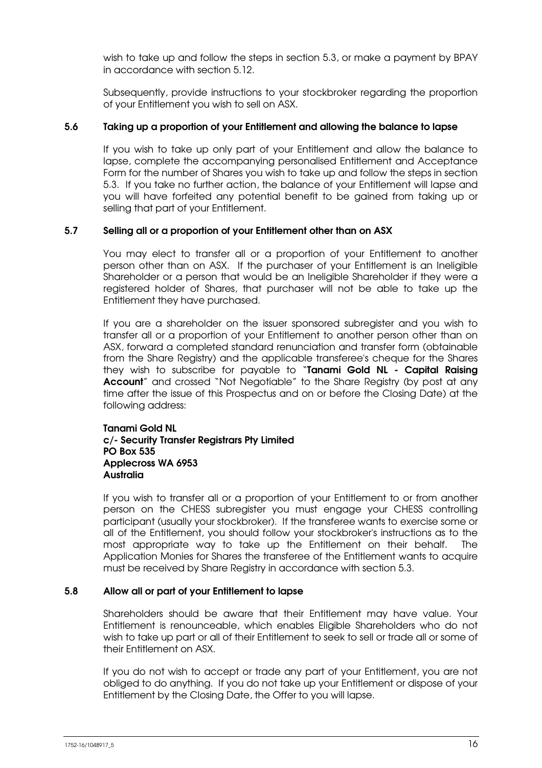wish to take up and follow the steps in section 5.3, or make a payment by BPAY in accordance with section 5.12.

Subsequently, provide instructions to your stockbroker regarding the proportion of your Entitlement you wish to sell on ASX.

### 5.6 Taking up a proportion of your Entitlement and allowing the balance to lapse

If you wish to take up only part of your Entitlement and allow the balance to lapse, complete the accompanying personalised Entitlement and Acceptance Form for the number of Shares you wish to take up and follow the steps in section 5.3. If you take no further action, the balance of your Entitlement will lapse and you will have forfeited any potential benefit to be gained from taking up or selling that part of your Entitlement.

### 5.7 Selling all or a proportion of your Entitlement other than on ASX

You may elect to transfer all or a proportion of your Entitlement to another person other than on ASX. If the purchaser of your Entitlement is an Ineligible Shareholder or a person that would be an Ineligible Shareholder if they were a registered holder of Shares, that purchaser will not be able to take up the Entitlement they have purchased.

If you are a shareholder on the issuer sponsored subregister and you wish to transfer all or a proportion of your Entitlement to another person other than on ASX, forward a completed standard renunciation and transfer form (obtainable from the Share Registry) and the applicable transferee's cheque for the Shares they wish to subscribe for payable to "Tanami Gold NL - Capital Raising Account" and crossed "Not Negotiable" to the Share Registry (by post at any time after the issue of this Prospectus and on or before the Closing Date) at the following address:

### Tanami Gold NL c/- Security Transfer Registrars Pty Limited PO Box 535 Applecross WA 6953 Australia

If you wish to transfer all or a proportion of your Entitlement to or from another person on the CHESS subregister you must engage your CHESS controlling participant (usually your stockbroker). If the transferee wants to exercise some or all of the Entitlement, you should follow your stockbroker's instructions as to the most appropriate way to take up the Entitlement on their behalf. The Application Monies for Shares the transferee of the Entitlement wants to acquire must be received by Share Registry in accordance with section 5.3.

### 5.8 Allow all or part of your Entitlement to lapse

Shareholders should be aware that their Entitlement may have value. Your Entitlement is renounceable, which enables Eligible Shareholders who do not wish to take up part or all of their Entitlement to seek to sell or trade all or some of their Entitlement on ASX.

If you do not wish to accept or trade any part of your Entitlement, you are not obliged to do anything. If you do not take up your Entitlement or dispose of your Entitlement by the Closing Date, the Offer to you will lapse.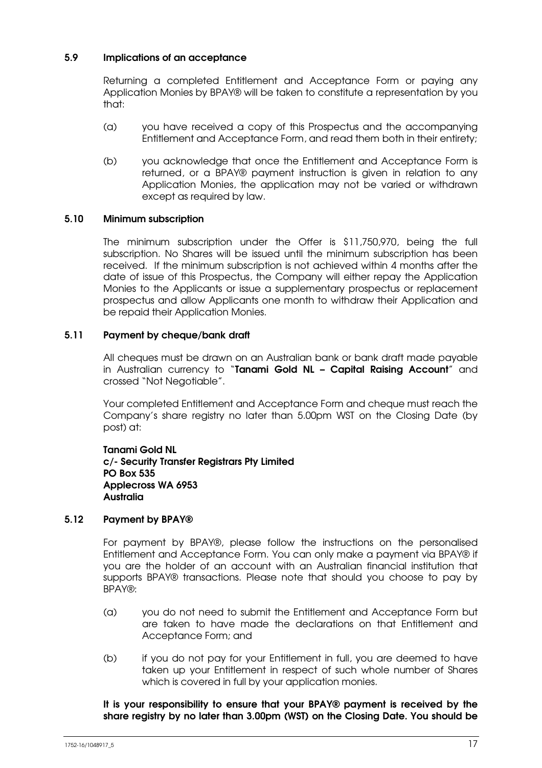### 5.9 Implications of an acceptance

Returning a completed Entitlement and Acceptance Form or paying any Application Monies by BPAY® will be taken to constitute a representation by you that:

- (a) you have received a copy of this Prospectus and the accompanying Entitlement and Acceptance Form, and read them both in their entirety;
- (b) you acknowledge that once the Entitlement and Acceptance Form is returned, or a BPAY® payment instruction is given in relation to any Application Monies, the application may not be varied or withdrawn except as required by law.

### 5.10 Minimum subscription

The minimum subscription under the Offer is \$11,750,970, being the full subscription. No Shares will be issued until the minimum subscription has been received. If the minimum subscription is not achieved within 4 months after the date of issue of this Prospectus, the Company will either repay the Application Monies to the Applicants or issue a supplementary prospectus or replacement prospectus and allow Applicants one month to withdraw their Application and be repaid their Application Monies.

### 5.11 Payment by cheque/bank draft

All cheques must be drawn on an Australian bank or bank draft made payable in Australian currency to "Tanami Gold NL - Capital Raising Account" and crossed "Not Negotiable".

Your completed Entitlement and Acceptance Form and cheque must reach the Company's share registry no later than 5.00pm WST on the Closing Date (by post) at:

Tanami Gold NL c/- Security Transfer Registrars Pty Limited PO Box 535 Applecross WA 6953 Australia

### 5.12 Payment by BPAY®

For payment by BPAY®, please follow the instructions on the personalised Entitlement and Acceptance Form. You can only make a payment via BPAY® if you are the holder of an account with an Australian financial institution that supports BPAY® transactions. Please note that should you choose to pay by BPAY®:

- (a) you do not need to submit the Entitlement and Acceptance Form but are taken to have made the declarations on that Entitlement and Acceptance Form; and
- (b) if you do not pay for your Entitlement in full, you are deemed to have taken up your Entitlement in respect of such whole number of Shares which is covered in full by your application monies.

It is your responsibility to ensure that your BPAY® payment is received by the share registry by no later than 3.00pm (WST) on the Closing Date. You should be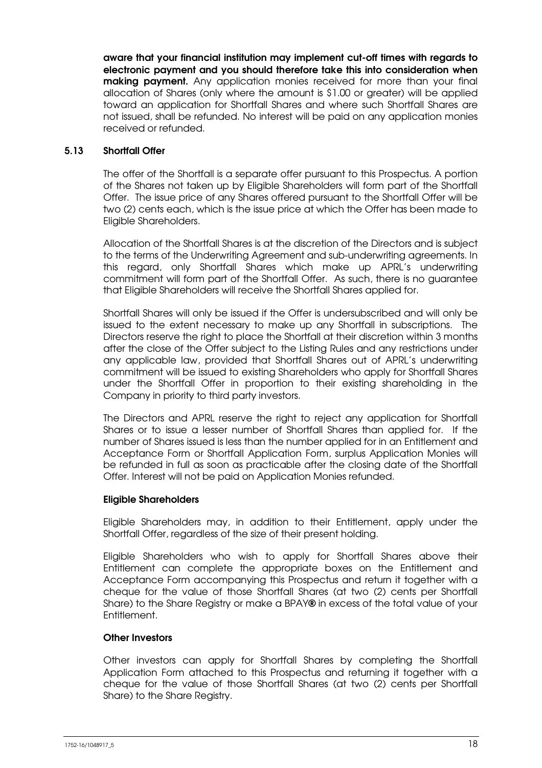aware that your financial institution may implement cut-off times with regards to electronic payment and you should therefore take this into consideration when **making payment.** Any application monies received for more than your final allocation of Shares (only where the amount is \$1.00 or greater) will be applied toward an application for Shortfall Shares and where such Shortfall Shares are not issued, shall be refunded. No interest will be paid on any application monies received or refunded.

### 5.13 Shortfall Offer

The offer of the Shortfall is a separate offer pursuant to this Prospectus. A portion of the Shares not taken up by Eligible Shareholders will form part of the Shortfall Offer. The issue price of any Shares offered pursuant to the Shortfall Offer will be two (2) cents each, which is the issue price at which the Offer has been made to Eligible Shareholders.

Allocation of the Shortfall Shares is at the discretion of the Directors and is subject to the terms of the Underwriting Agreement and sub-underwriting agreements. In this regard, only Shortfall Shares which make up APRL's underwriting commitment will form part of the Shortfall Offer. As such, there is no guarantee that Eligible Shareholders will receive the Shortfall Shares applied for.

Shortfall Shares will only be issued if the Offer is undersubscribed and will only be issued to the extent necessary to make up any Shortfall in subscriptions. The Directors reserve the right to place the Shortfall at their discretion within 3 months after the close of the Offer subject to the Listing Rules and any restrictions under any applicable law, provided that Shortfall Shares out of APRL's underwriting commitment will be issued to existing Shareholders who apply for Shortfall Shares under the Shortfall Offer in proportion to their existing shareholding in the Company in priority to third party investors.

The Directors and APRL reserve the right to reject any application for Shortfall Shares or to issue a lesser number of Shortfall Shares than applied for. If the number of Shares issued is less than the number applied for in an Entitlement and Acceptance Form or Shortfall Application Form, surplus Application Monies will be refunded in full as soon as practicable after the closing date of the Shortfall Offer. Interest will not be paid on Application Monies refunded.

### Eligible Shareholders

Eligible Shareholders may, in addition to their Entitlement, apply under the Shortfall Offer, regardless of the size of their present holding.

Eligible Shareholders who wish to apply for Shortfall Shares above their Entitlement can complete the appropriate boxes on the Entitlement and Acceptance Form accompanying this Prospectus and return it together with a cheque for the value of those Shortfall Shares (at two (2) cents per Shortfall Share) to the Share Registry or make a BPAY® in excess of the total value of your Entitlement.

### Other Investors

Other investors can apply for Shortfall Shares by completing the Shortfall Application Form attached to this Prospectus and returning it together with a cheque for the value of those Shortfall Shares (at two (2) cents per Shortfall Share) to the Share Registry.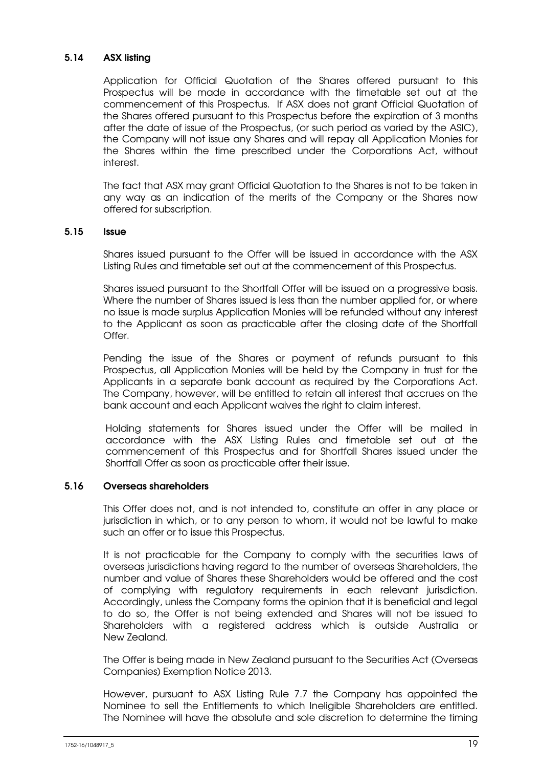### 5.14 ASX listing

Application for Official Quotation of the Shares offered pursuant to this Prospectus will be made in accordance with the timetable set out at the commencement of this Prospectus. If ASX does not grant Official Quotation of the Shares offered pursuant to this Prospectus before the expiration of 3 months after the date of issue of the Prospectus, (or such period as varied by the ASIC), the Company will not issue any Shares and will repay all Application Monies for the Shares within the time prescribed under the Corporations Act, without interest.

The fact that ASX may grant Official Quotation to the Shares is not to be taken in any way as an indication of the merits of the Company or the Shares now offered for subscription.

### 5.15 Issue

Shares issued pursuant to the Offer will be issued in accordance with the ASX Listing Rules and timetable set out at the commencement of this Prospectus.

Shares issued pursuant to the Shortfall Offer will be issued on a progressive basis. Where the number of Shares issued is less than the number applied for, or where no issue is made surplus Application Monies will be refunded without any interest to the Applicant as soon as practicable after the closing date of the Shortfall Offer.

Pending the issue of the Shares or payment of refunds pursuant to this Prospectus, all Application Monies will be held by the Company in trust for the Applicants in a separate bank account as required by the Corporations Act. The Company, however, will be entitled to retain all interest that accrues on the bank account and each Applicant waives the right to claim interest.

Holding statements for Shares issued under the Offer will be mailed in accordance with the ASX Listing Rules and timetable set out at the commencement of this Prospectus and for Shortfall Shares issued under the Shortfall Offer as soon as practicable after their issue.

### 5.16 Overseas shareholders

This Offer does not, and is not intended to, constitute an offer in any place or jurisdiction in which, or to any person to whom, it would not be lawful to make such an offer or to issue this Prospectus.

It is not practicable for the Company to comply with the securities laws of overseas jurisdictions having regard to the number of overseas Shareholders, the number and value of Shares these Shareholders would be offered and the cost of complying with regulatory requirements in each relevant jurisdiction. Accordingly, unless the Company forms the opinion that it is beneficial and legal to do so, the Offer is not being extended and Shares will not be issued to Shareholders with a registered address which is outside Australia or New Zealand.

The Offer is being made in New Zealand pursuant to the Securities Act (Overseas Companies) Exemption Notice 2013.

However, pursuant to ASX Listing Rule 7.7 the Company has appointed the Nominee to sell the Entitlements to which Ineligible Shareholders are entitled. The Nominee will have the absolute and sole discretion to determine the timing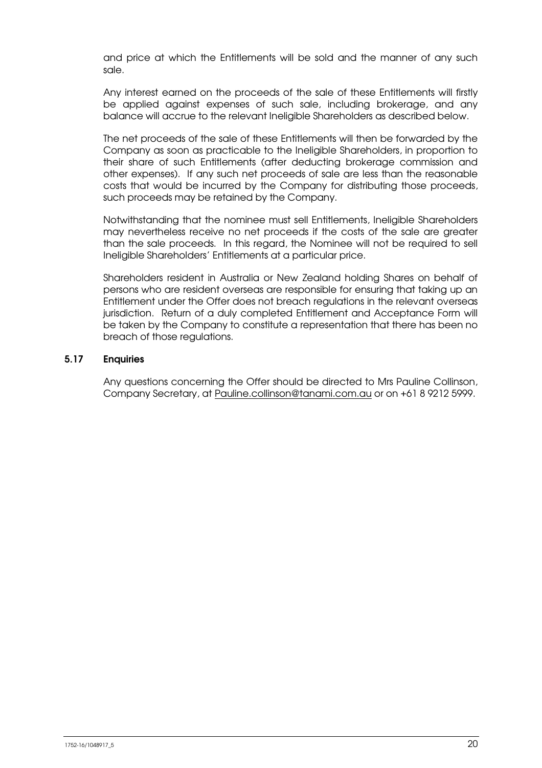and price at which the Entitlements will be sold and the manner of any such sale.

Any interest earned on the proceeds of the sale of these Entitlements will firstly be applied against expenses of such sale, including brokerage, and any balance will accrue to the relevant Ineligible Shareholders as described below.

The net proceeds of the sale of these Entitlements will then be forwarded by the Company as soon as practicable to the Ineligible Shareholders, in proportion to their share of such Entitlements (after deducting brokerage commission and other expenses). If any such net proceeds of sale are less than the reasonable costs that would be incurred by the Company for distributing those proceeds, such proceeds may be retained by the Company.

Notwithstanding that the nominee must sell Entitlements, Ineligible Shareholders may nevertheless receive no net proceeds if the costs of the sale are greater than the sale proceeds. In this regard, the Nominee will not be required to sell Ineligible Shareholders' Entitlements at a particular price.

Shareholders resident in Australia or New Zealand holding Shares on behalf of persons who are resident overseas are responsible for ensuring that taking up an Entitlement under the Offer does not breach regulations in the relevant overseas jurisdiction. Return of a duly completed Entitlement and Acceptance Form will be taken by the Company to constitute a representation that there has been no breach of those regulations.

### 5.17 Enquiries

Any questions concerning the Offer should be directed to Mrs Pauline Collinson, Company Secretary, at Pauline.collinson@tanami.com.au or on +61 8 9212 5999.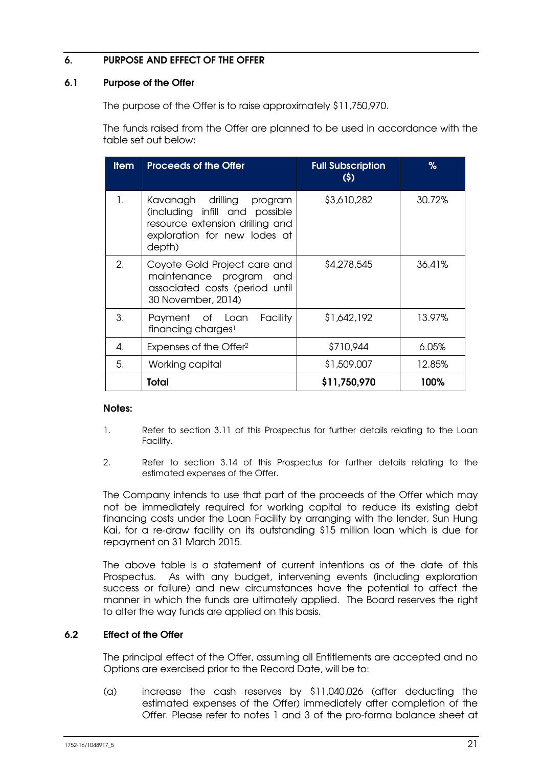### 6. PURPOSE AND EFFECT OF THE OFFER

### 6.1 Purpose of the Offer

The purpose of the Offer is to raise approximately \$11,750,970.

The funds raised from the Offer are planned to be used in accordance with the table set out below:

| <b>Item</b> | <b>Proceeds of the Offer</b>                                                                                                                | <b>Full Subscription</b><br>(5) | %      |
|-------------|---------------------------------------------------------------------------------------------------------------------------------------------|---------------------------------|--------|
| 1.          | Kavanagh drilling<br>program<br>(including infill and possible<br>resource extension drilling and<br>exploration for new lodes at<br>depth) | \$3,610,282                     | 30.72% |
| 2.          | Coyote Gold Project care and<br>maintenance program<br>and<br>associated costs (period until<br>30 November, 2014)                          | \$4,278,545                     | 36.41% |
| 3.          | Payment of Loan<br>Facility<br>financing charges <sup>1</sup>                                                                               | \$1,642,192                     | 13.97% |
| 4.          | Expenses of the Offer <sup>2</sup>                                                                                                          | \$710,944                       | 6.05%  |
| 5.          | Working capital                                                                                                                             | \$1,509,007                     | 12.85% |
|             | <b>Total</b>                                                                                                                                | \$11,750,970                    | 100%   |

### Notes:

- 1. Refer to section 3.11 of this Prospectus for further details relating to the Loan Facility.
- 2. Refer to section 3.14 of this Prospectus for further details relating to the estimated expenses of the Offer.

The Company intends to use that part of the proceeds of the Offer which may not be immediately required for working capital to reduce its existing debt financing costs under the Loan Facility by arranging with the lender, Sun Hung Kai, for a re-draw facility on its outstanding \$15 million loan which is due for repayment on 31 March 2015.

The above table is a statement of current intentions as of the date of this Prospectus. As with any budget, intervening events (including exploration success or failure) and new circumstances have the potential to affect the manner in which the funds are ultimately applied. The Board reserves the right to alter the way funds are applied on this basis.

### 6.2 Effect of the Offer

The principal effect of the Offer, assuming all Entitlements are accepted and no Options are exercised prior to the Record Date, will be to:

(a) increase the cash reserves by \$11,040,026 (after deducting the estimated expenses of the Offer) immediately after completion of the Offer. Please refer to notes 1 and 3 of the pro-forma balance sheet at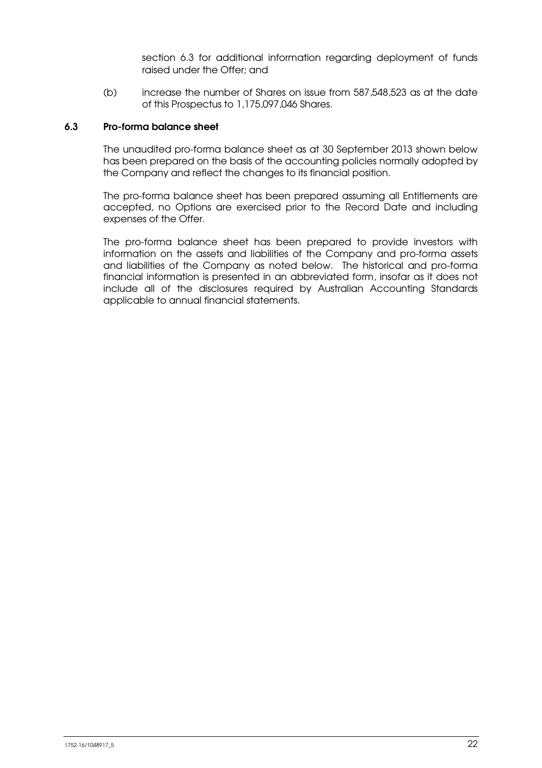section 6.3 for additional information regarding deployment of funds raised under the Offer; and

(b) increase the number of Shares on issue from 587,548,523 as at the date of this Prospectus to 1,175,097,046 Shares.

### 6.3 Pro-forma balance sheet

The unaudited pro-forma balance sheet as at 30 September 2013 shown below has been prepared on the basis of the accounting policies normally adopted by the Company and reflect the changes to its financial position.

The pro-forma balance sheet has been prepared assuming all Entitlements are accepted, no Options are exercised prior to the Record Date and including expenses of the Offer.

The pro-forma balance sheet has been prepared to provide investors with information on the assets and liabilities of the Company and pro-forma assets and liabilities of the Company as noted below. The historical and pro-forma financial information is presented in an abbreviated form, insofar as it does not include all of the disclosures required by Australian Accounting Standards applicable to annual financial statements.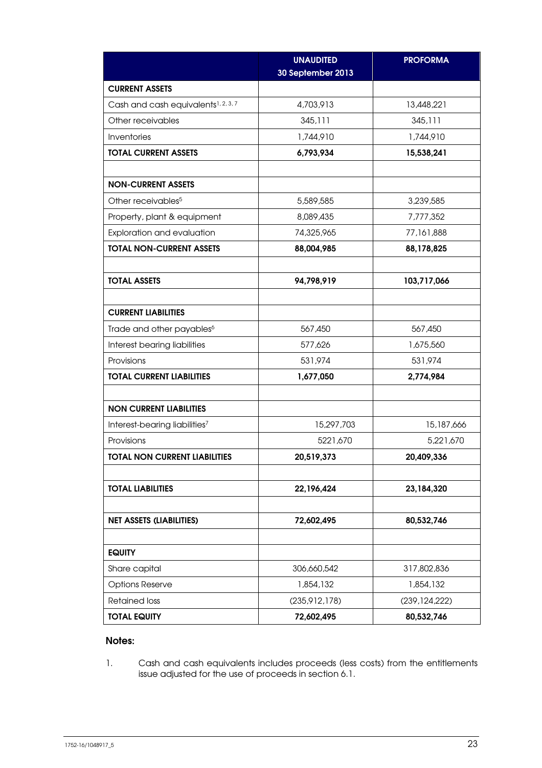|                                                 | <b>UNAUDITED</b><br>30 September 2013 | <b>PROFORMA</b> |
|-------------------------------------------------|---------------------------------------|-----------------|
| <b>CURRENT ASSETS</b>                           |                                       |                 |
| Cash and cash equivalents <sup>1, 2, 3, 7</sup> | 4,703,913                             | 13,448,221      |
| Other receivables                               | 345,111                               | 345,111         |
| Inventories                                     | 1,744,910                             | 1,744,910       |
| <b>TOTAL CURRENT ASSETS</b>                     | 6,793,934                             | 15,538,241      |
|                                                 |                                       |                 |
| <b>NON-CURRENT ASSETS</b>                       |                                       |                 |
| Other receivables <sup>5</sup>                  | 5,589,585                             | 3,239,585       |
| Property, plant & equipment                     | 8,089,435                             | 7,777,352       |
| Exploration and evaluation                      | 74,325,965                            | 77,161,888      |
| <b>TOTAL NON-CURRENT ASSETS</b>                 | 88,004,985                            | 88,178,825      |
|                                                 |                                       |                 |
| <b>TOTAL ASSETS</b>                             | 94,798,919                            | 103,717,066     |
|                                                 |                                       |                 |
| <b>CURRENT LIABILITIES</b>                      |                                       |                 |
| Trade and other payables <sup>6</sup>           | 567,450                               | 567,450         |
| Interest bearing liabilities                    | 577,626                               | 1,675,560       |
| Provisions                                      | 531,974                               | 531,974         |
| <b>TOTAL CURRENT LIABILITIES</b>                | 1,677,050                             | 2,774,984       |
|                                                 |                                       |                 |
| <b>NON CURRENT LIABILITIES</b>                  |                                       |                 |
| Interest-bearing liabilities7                   | 15,297,703                            | 15,187,666      |
| Provisions                                      | 5221,670                              | 5,221,670       |
| <b>TOTAL NON CURRENT LIABILITIES</b>            | 20,519,373                            | 20,409,336      |
|                                                 |                                       |                 |
| <b>TOTAL LIABILITIES</b>                        | 22,196,424                            | 23, 184, 320    |
|                                                 |                                       |                 |
| <b>NET ASSETS (LIABILITIES)</b>                 | 72,602,495                            | 80,532,746      |
|                                                 |                                       |                 |
| <b>EQUITY</b>                                   |                                       |                 |
| Share capital                                   | 306,660,542                           | 317,802,836     |
| <b>Options Reserve</b>                          | 1,854,132                             | 1,854,132       |
| <b>Retained loss</b>                            | (235,912,178)                         | (239, 124, 222) |
| <b>TOTAL EQUITY</b>                             | 72,602,495                            | 80,532,746      |

### Notes:

1. Cash and cash equivalents includes proceeds (less costs) from the entitlements issue adjusted for the use of proceeds in section 6.1.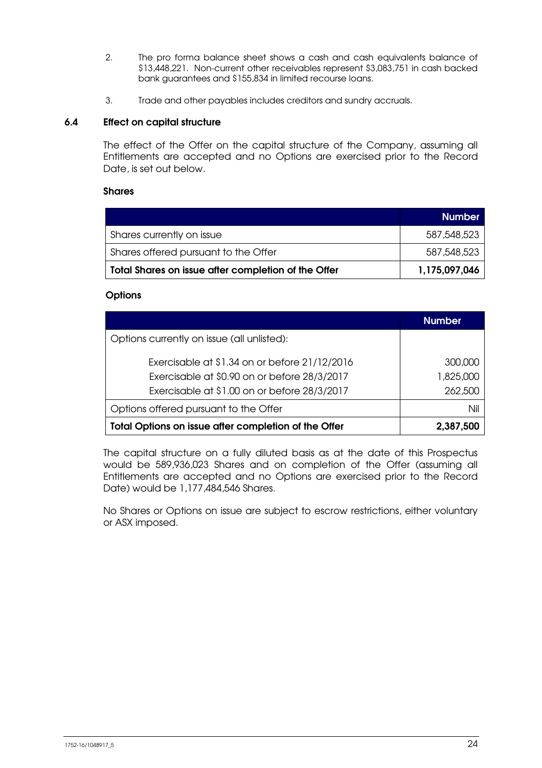- 2. The pro forma balance sheet shows a cash and cash equivalents balance of \$13,448,221. Non-current other receivables represent \$3,083,751 in cash backed bank guarantees and \$155,834 in limited recourse loans.
- 3. Trade and other payables includes creditors and sundry accruals.

### 6.4 Effect on capital structure

The effect of the Offer on the capital structure of the Company, assuming all Entitlements are accepted and no Options are exercised prior to the Record Date, is set out below.

### Shares

|                                                     | <b>Number</b> |
|-----------------------------------------------------|---------------|
| Shares currently on issue                           | 587,548,523   |
| Shares offered pursuant to the Offer                | 587,548,523   |
| Total Shares on issue after completion of the Offer | 1,175,097,046 |

### **Options**

|                                                      | <b>Number</b> |
|------------------------------------------------------|---------------|
| Options currently on issue (all unlisted):           |               |
| Exercisable at \$1.34 on or before 21/12/2016        | 300,000       |
| Exercisable at \$0.90 on or before 28/3/2017         | 1,825,000     |
| Exercisable at \$1.00 on or before 28/3/2017         | 262,500       |
| Options offered pursuant to the Offer                | Nil           |
| Total Options on issue after completion of the Offer | 2,387,500     |

The capital structure on a fully diluted basis as at the date of this Prospectus would be 589,936,023 Shares and on completion of the Offer (assuming all Entitlements are accepted and no Options are exercised prior to the Record Date) would be 1,177,484,546 Shares.

No Shares or Options on issue are subject to escrow restrictions, either voluntary or ASX imposed.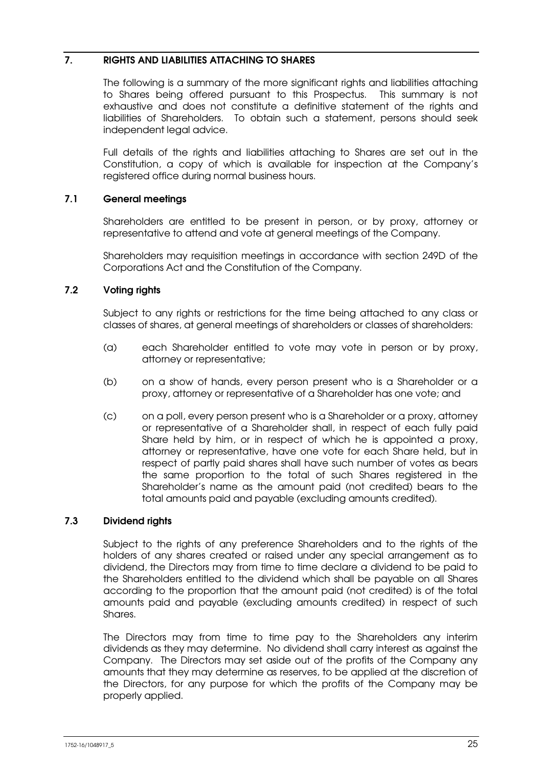### 7. RIGHTS AND LIABILITIES ATTACHING TO SHARES

The following is a summary of the more significant rights and liabilities attaching to Shares being offered pursuant to this Prospectus. This summary is not exhaustive and does not constitute a definitive statement of the rights and liabilities of Shareholders. To obtain such a statement, persons should seek independent legal advice.

Full details of the rights and liabilities attaching to Shares are set out in the Constitution, a copy of which is available for inspection at the Company's registered office during normal business hours.

### 7.1 General meetings

Shareholders are entitled to be present in person, or by proxy, attorney or representative to attend and vote at general meetings of the Company.

Shareholders may requisition meetings in accordance with section 249D of the Corporations Act and the Constitution of the Company.

### 7.2 Voting rights

Subject to any rights or restrictions for the time being attached to any class or classes of shares, at general meetings of shareholders or classes of shareholders:

- (a) each Shareholder entitled to vote may vote in person or by proxy, attorney or representative;
- (b) on a show of hands, every person present who is a Shareholder or a proxy, attorney or representative of a Shareholder has one vote; and
- (c) on a poll, every person present who is a Shareholder or a proxy, attorney or representative of a Shareholder shall, in respect of each fully paid Share held by him, or in respect of which he is appointed a proxy, attorney or representative, have one vote for each Share held, but in respect of partly paid shares shall have such number of votes as bears the same proportion to the total of such Shares registered in the Shareholder's name as the amount paid (not credited) bears to the total amounts paid and payable (excluding amounts credited).

### 7.3 Dividend rights

Subject to the rights of any preference Shareholders and to the rights of the holders of any shares created or raised under any special arrangement as to dividend, the Directors may from time to time declare a dividend to be paid to the Shareholders entitled to the dividend which shall be payable on all Shares according to the proportion that the amount paid (not credited) is of the total amounts paid and payable (excluding amounts credited) in respect of such Shares.

The Directors may from time to time pay to the Shareholders any interim dividends as they may determine. No dividend shall carry interest as against the Company. The Directors may set aside out of the profits of the Company any amounts that they may determine as reserves, to be applied at the discretion of the Directors, for any purpose for which the profits of the Company may be properly applied.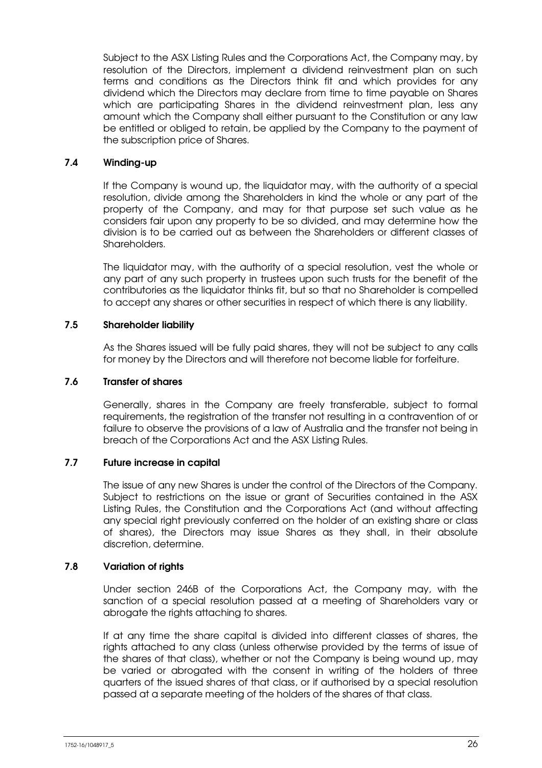Subject to the ASX Listing Rules and the Corporations Act, the Company may, by resolution of the Directors, implement a dividend reinvestment plan on such terms and conditions as the Directors think fit and which provides for any dividend which the Directors may declare from time to time payable on Shares which are participating Shares in the dividend reinvestment plan, less any amount which the Company shall either pursuant to the Constitution or any law be entitled or obliged to retain, be applied by the Company to the payment of the subscription price of Shares.

### 7.4 Winding-up

If the Company is wound up, the liquidator may, with the authority of a special resolution, divide among the Shareholders in kind the whole or any part of the property of the Company, and may for that purpose set such value as he considers fair upon any property to be so divided, and may determine how the division is to be carried out as between the Shareholders or different classes of Shareholders.

The liquidator may, with the authority of a special resolution, vest the whole or any part of any such property in trustees upon such trusts for the benefit of the contributories as the liquidator thinks fit, but so that no Shareholder is compelled to accept any shares or other securities in respect of which there is any liability.

### 7.5 Shareholder liability

As the Shares issued will be fully paid shares, they will not be subject to any calls for money by the Directors and will therefore not become liable for forfeiture.

### 7.6 Transfer of shares

Generally, shares in the Company are freely transferable, subject to formal requirements, the registration of the transfer not resulting in a contravention of or failure to observe the provisions of a law of Australia and the transfer not being in breach of the Corporations Act and the ASX Listing Rules.

### 7.7 Future increase in capital

The issue of any new Shares is under the control of the Directors of the Company. Subject to restrictions on the issue or grant of Securities contained in the ASX Listing Rules, the Constitution and the Corporations Act (and without affecting any special right previously conferred on the holder of an existing share or class of shares), the Directors may issue Shares as they shall, in their absolute discretion, determine.

### 7.8 Variation of rights

Under section 246B of the Corporations Act, the Company may, with the sanction of a special resolution passed at a meeting of Shareholders vary or abrogate the rights attaching to shares.

If at any time the share capital is divided into different classes of shares, the rights attached to any class (unless otherwise provided by the terms of issue of the shares of that class), whether or not the Company is being wound up, may be varied or abrogated with the consent in writing of the holders of three quarters of the issued shares of that class, or if authorised by a special resolution passed at a separate meeting of the holders of the shares of that class.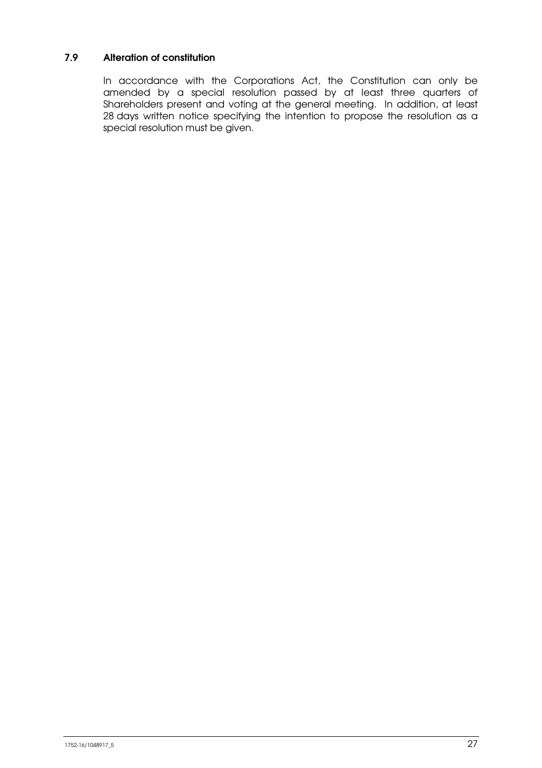### 7.9 Alteration of constitution

In accordance with the Corporations Act, the Constitution can only be amended by a special resolution passed by at least three quarters of Shareholders present and voting at the general meeting. In addition, at least 28 days written notice specifying the intention to propose the resolution as a special resolution must be given.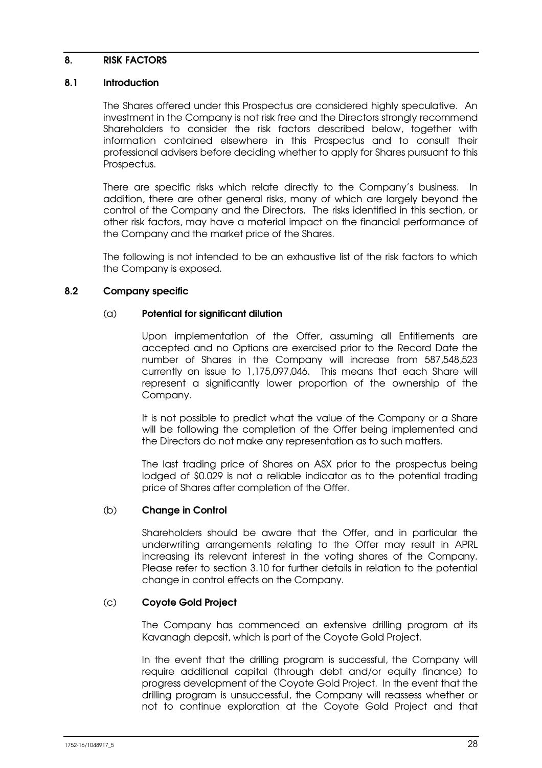### 8. RISK FACTORS

### 8.1 Introduction

The Shares offered under this Prospectus are considered highly speculative. An investment in the Company is not risk free and the Directors strongly recommend Shareholders to consider the risk factors described below, together with information contained elsewhere in this Prospectus and to consult their professional advisers before deciding whether to apply for Shares pursuant to this Prospectus.

There are specific risks which relate directly to the Company's business. In addition, there are other general risks, many of which are largely beyond the control of the Company and the Directors. The risks identified in this section, or other risk factors, may have a material impact on the financial performance of the Company and the market price of the Shares.

The following is not intended to be an exhaustive list of the risk factors to which the Company is exposed.

### 8.2 Company specific

### (a) Potential for significant dilution

Upon implementation of the Offer, assuming all Entitlements are accepted and no Options are exercised prior to the Record Date the number of Shares in the Company will increase from 587,548,523 currently on issue to 1,175,097,046. This means that each Share will represent a significantly lower proportion of the ownership of the Company.

It is not possible to predict what the value of the Company or a Share will be following the completion of the Offer being implemented and the Directors do not make any representation as to such matters.

The last trading price of Shares on ASX prior to the prospectus being lodged of \$0.029 is not a reliable indicator as to the potential trading price of Shares after completion of the Offer.

### (b) Change in Control

Shareholders should be aware that the Offer, and in particular the underwriting arrangements relating to the Offer may result in APRL increasing its relevant interest in the voting shares of the Company. Please refer to section 3.10 for further details in relation to the potential change in control effects on the Company.

### (c) Coyote Gold Project

The Company has commenced an extensive drilling program at its Kavanagh deposit, which is part of the Coyote Gold Project.

In the event that the drilling program is successful, the Company will require additional capital (through debt and/or equity finance) to progress development of the Coyote Gold Project. In the event that the drilling program is unsuccessful, the Company will reassess whether or not to continue exploration at the Coyote Gold Project and that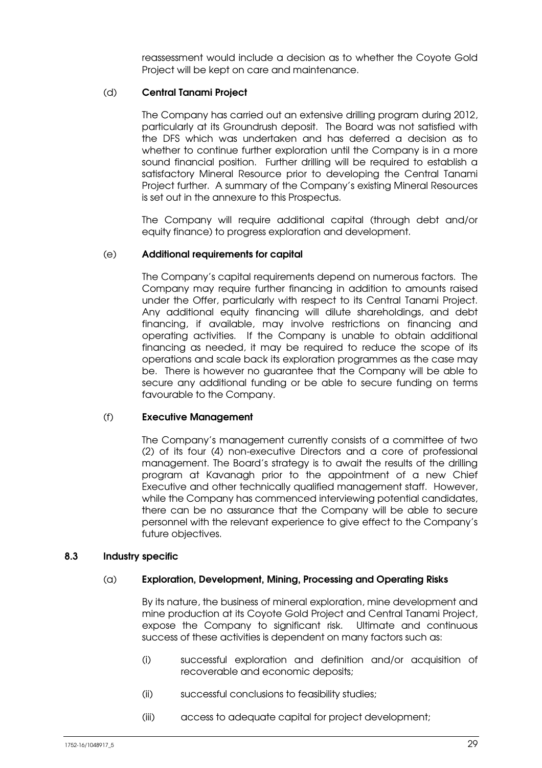reassessment would include a decision as to whether the Coyote Gold Project will be kept on care and maintenance.

### (d) Central Tanami Project

The Company has carried out an extensive drilling program during 2012, particularly at its Groundrush deposit. The Board was not satisfied with the DFS which was undertaken and has deferred a decision as to whether to continue further exploration until the Company is in a more sound financial position. Further drilling will be required to establish a satisfactory Mineral Resource prior to developing the Central Tanami Project further. A summary of the Company's existing Mineral Resources is set out in the annexure to this Prospectus.

The Company will require additional capital (through debt and/or equity finance) to progress exploration and development.

### (e) Additional requirements for capital

The Company's capital requirements depend on numerous factors. The Company may require further financing in addition to amounts raised under the Offer, particularly with respect to its Central Tanami Project. Any additional equity financing will dilute shareholdings, and debt financing, if available, may involve restrictions on financing and operating activities. If the Company is unable to obtain additional financing as needed, it may be required to reduce the scope of its operations and scale back its exploration programmes as the case may be. There is however no guarantee that the Company will be able to secure any additional funding or be able to secure funding on terms favourable to the Company.

#### (f) Executive Management

The Company's management currently consists of a committee of two (2) of its four (4) non-executive Directors and a core of professional management. The Board's strategy is to await the results of the drilling program at Kavanagh prior to the appointment of a new Chief Executive and other technically qualified management staff. However, while the Company has commenced interviewing potential candidates, there can be no assurance that the Company will be able to secure personnel with the relevant experience to give effect to the Company's future objectives.

#### 8.3 Industry specific

#### (a) Exploration, Development, Mining, Processing and Operating Risks

By its nature, the business of mineral exploration, mine development and mine production at its Coyote Gold Project and Central Tanami Project, expose the Company to significant risk. Ultimate and continuous success of these activities is dependent on many factors such as:

- (i) successful exploration and definition and/or acquisition of recoverable and economic deposits;
- (ii) successful conclusions to feasibility studies;
- (iii) access to adequate capital for project development;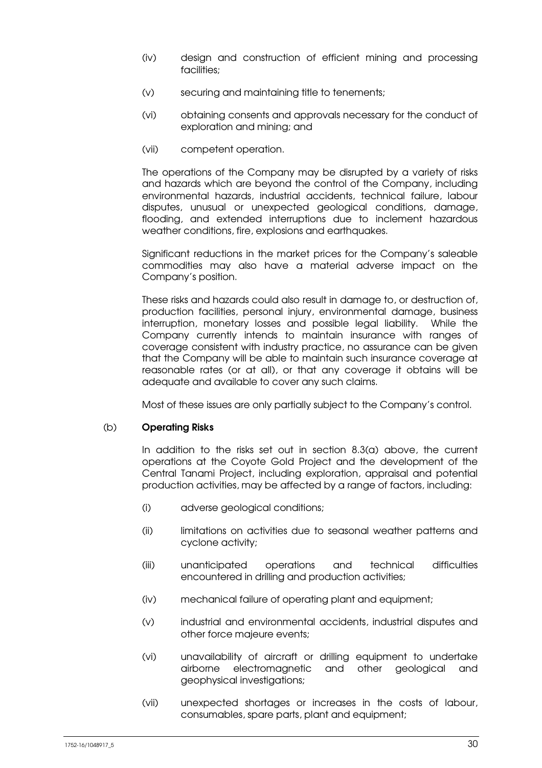- (iv) design and construction of efficient mining and processing facilities;
- (v) securing and maintaining title to tenements;
- (vi) obtaining consents and approvals necessary for the conduct of exploration and mining; and
- (vii) competent operation.

The operations of the Company may be disrupted by a variety of risks and hazards which are beyond the control of the Company, including environmental hazards, industrial accidents, technical failure, labour disputes, unusual or unexpected geological conditions, damage, flooding, and extended interruptions due to inclement hazardous weather conditions, fire, explosions and earthquakes.

Significant reductions in the market prices for the Company's saleable commodities may also have a material adverse impact on the Company's position.

These risks and hazards could also result in damage to, or destruction of, production facilities, personal injury, environmental damage, business interruption, monetary losses and possible legal liability. While the Company currently intends to maintain insurance with ranges of coverage consistent with industry practice, no assurance can be given that the Company will be able to maintain such insurance coverage at reasonable rates (or at all), or that any coverage it obtains will be adequate and available to cover any such claims.

Most of these issues are only partially subject to the Company's control.

### (b) Operating Risks

In addition to the risks set out in section 8.3(a) above, the current operations at the Coyote Gold Project and the development of the Central Tanami Project, including exploration, appraisal and potential production activities, may be affected by a range of factors, including:

- (i) adverse geological conditions;
- (ii) limitations on activities due to seasonal weather patterns and cyclone activity;
- (iii) unanticipated operations and technical difficulties encountered in drilling and production activities;
- (iv) mechanical failure of operating plant and equipment;
- (v) industrial and environmental accidents, industrial disputes and other force majeure events;
- (vi) unavailability of aircraft or drilling equipment to undertake airborne electromagnetic and other geological and geophysical investigations;
- (vii) unexpected shortages or increases in the costs of labour, consumables, spare parts, plant and equipment;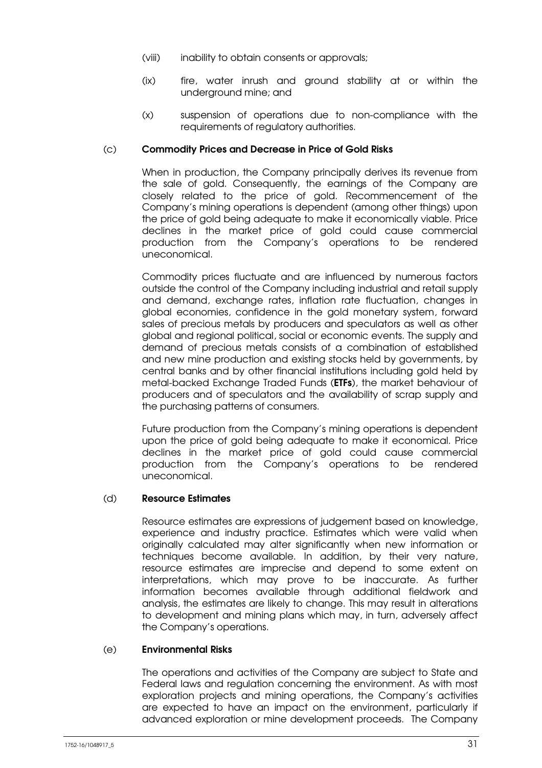- (viii) inability to obtain consents or approvals;
- (ix) fire, water inrush and ground stability at or within the underground mine; and
- (x) suspension of operations due to non-compliance with the requirements of regulatory authorities.

### (c) Commodity Prices and Decrease in Price of Gold Risks

When in production, the Company principally derives its revenue from the sale of gold. Consequently, the earnings of the Company are closely related to the price of gold. Recommencement of the Company's mining operations is dependent (among other things) upon the price of gold being adequate to make it economically viable. Price declines in the market price of gold could cause commercial production from the Company's operations to be rendered uneconomical.

Commodity prices fluctuate and are influenced by numerous factors outside the control of the Company including industrial and retail supply and demand, exchange rates, inflation rate fluctuation, changes in global economies, confidence in the gold monetary system, forward sales of precious metals by producers and speculators as well as other global and regional political, social or economic events. The supply and demand of precious metals consists of a combination of established and new mine production and existing stocks held by governments, by central banks and by other financial institutions including gold held by metal-backed Exchange Traded Funds (ETFs), the market behaviour of producers and of speculators and the availability of scrap supply and the purchasing patterns of consumers.

Future production from the Company's mining operations is dependent upon the price of gold being adequate to make it economical. Price declines in the market price of gold could cause commercial production from the Company's operations to be rendered uneconomical.

### (d) Resource Estimates

Resource estimates are expressions of judgement based on knowledge, experience and industry practice. Estimates which were valid when originally calculated may alter significantly when new information or techniques become available. In addition, by their very nature, resource estimates are imprecise and depend to some extent on interpretations, which may prove to be inaccurate. As further information becomes available through additional fieldwork and analysis, the estimates are likely to change. This may result in alterations to development and mining plans which may, in turn, adversely affect the Company's operations.

#### (e) Environmental Risks

The operations and activities of the Company are subject to State and Federal laws and regulation concerning the environment. As with most exploration projects and mining operations, the Company's activities are expected to have an impact on the environment, particularly if advanced exploration or mine development proceeds. The Company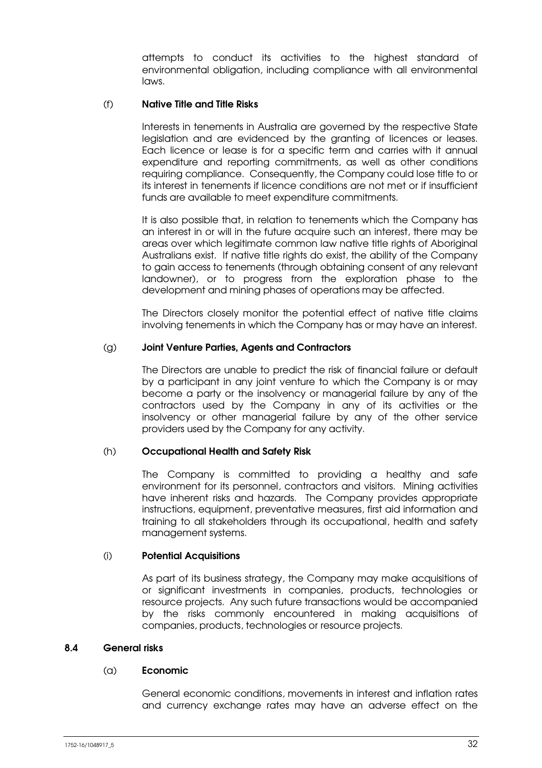attempts to conduct its activities to the highest standard of environmental obligation, including compliance with all environmental laws.

### (f) Native Title and Title Risks

Interests in tenements in Australia are governed by the respective State legislation and are evidenced by the granting of licences or leases. Each licence or lease is for a specific term and carries with it annual expenditure and reporting commitments, as well as other conditions requiring compliance. Consequently, the Company could lose title to or its interest in tenements if licence conditions are not met or if insufficient funds are available to meet expenditure commitments.

It is also possible that, in relation to tenements which the Company has an interest in or will in the future acquire such an interest, there may be areas over which legitimate common law native title rights of Aboriginal Australians exist. If native title rights do exist, the ability of the Company to gain access to tenements (through obtaining consent of any relevant landowner), or to progress from the exploration phase to the development and mining phases of operations may be affected.

The Directors closely monitor the potential effect of native title claims involving tenements in which the Company has or may have an interest.

### (g) Joint Venture Parties, Agents and Contractors

The Directors are unable to predict the risk of financial failure or default by a participant in any joint venture to which the Company is or may become a party or the insolvency or managerial failure by any of the contractors used by the Company in any of its activities or the insolvency or other managerial failure by any of the other service providers used by the Company for any activity.

### (h) Occupational Health and Safety Risk

The Company is committed to providing a healthy and safe environment for its personnel, contractors and visitors. Mining activities have inherent risks and hazards. The Company provides appropriate instructions, equipment, preventative measures, first aid information and training to all stakeholders through its occupational, health and safety management systems.

#### (i) Potential Acquisitions

As part of its business strategy, the Company may make acquisitions of or significant investments in companies, products, technologies or resource projects. Any such future transactions would be accompanied by the risks commonly encountered in making acquisitions of companies, products, technologies or resource projects.

#### 8.4 General risks

#### (a) Economic

General economic conditions, movements in interest and inflation rates and currency exchange rates may have an adverse effect on the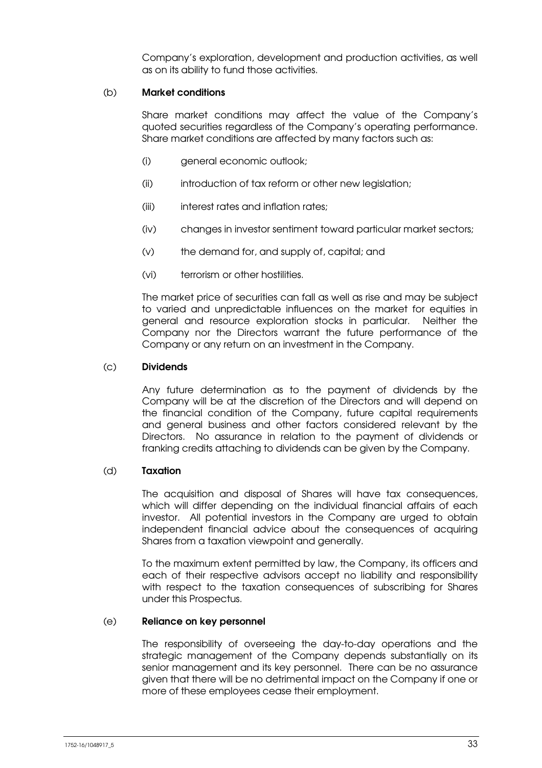Company's exploration, development and production activities, as well as on its ability to fund those activities.

### (b) Market conditions

Share market conditions may affect the value of the Company's quoted securities regardless of the Company's operating performance. Share market conditions are affected by many factors such as:

- (i) general economic outlook;
- (ii) introduction of tax reform or other new legislation;
- (iii) interest rates and inflation rates;
- (iv) changes in investor sentiment toward particular market sectors;
- (v) the demand for, and supply of, capital; and
- (vi) terrorism or other hostilities.

The market price of securities can fall as well as rise and may be subject to varied and unpredictable influences on the market for equities in general and resource exploration stocks in particular. Neither the Company nor the Directors warrant the future performance of the Company or any return on an investment in the Company.

### (c) Dividends

Any future determination as to the payment of dividends by the Company will be at the discretion of the Directors and will depend on the financial condition of the Company, future capital requirements and general business and other factors considered relevant by the Directors. No assurance in relation to the payment of dividends or franking credits attaching to dividends can be given by the Company.

#### (d) Taxation

The acquisition and disposal of Shares will have tax consequences, which will differ depending on the individual financial affairs of each investor. All potential investors in the Company are urged to obtain independent financial advice about the consequences of acquiring Shares from a taxation viewpoint and generally.

To the maximum extent permitted by law, the Company, its officers and each of their respective advisors accept no liability and responsibility with respect to the taxation consequences of subscribing for Shares under this Prospectus.

#### (e) Reliance on key personnel

The responsibility of overseeing the day-to-day operations and the strategic management of the Company depends substantially on its senior management and its key personnel. There can be no assurance given that there will be no detrimental impact on the Company if one or more of these employees cease their employment.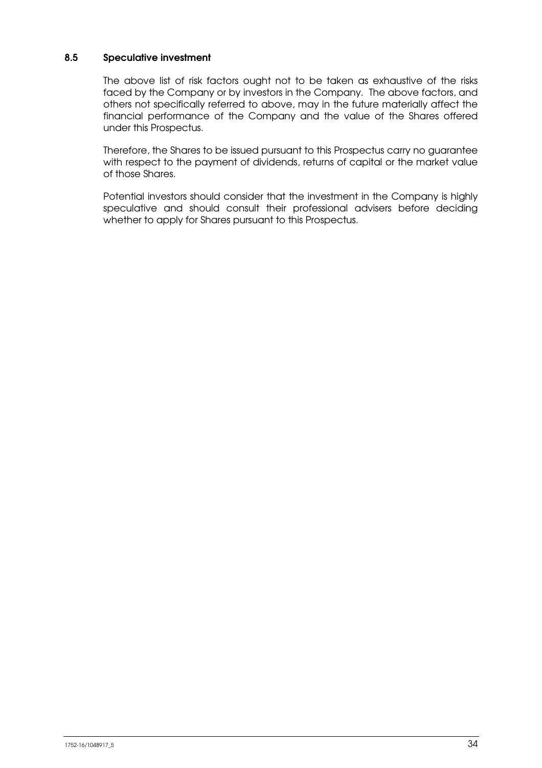### 8.5 Speculative investment

The above list of risk factors ought not to be taken as exhaustive of the risks faced by the Company or by investors in the Company. The above factors, and others not specifically referred to above, may in the future materially affect the financial performance of the Company and the value of the Shares offered under this Prospectus.

Therefore, the Shares to be issued pursuant to this Prospectus carry no guarantee with respect to the payment of dividends, returns of capital or the market value of those Shares.

Potential investors should consider that the investment in the Company is highly speculative and should consult their professional advisers before deciding whether to apply for Shares pursuant to this Prospectus.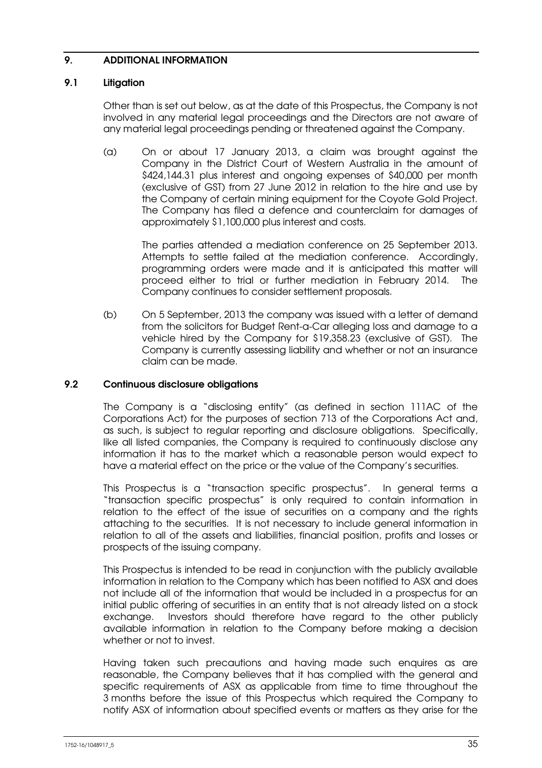### 9. ADDITIONAL INFORMATION

### 9.1 Litigation

Other than is set out below, as at the date of this Prospectus, the Company is not involved in any material legal proceedings and the Directors are not aware of any material legal proceedings pending or threatened against the Company.

(a) On or about 17 January 2013, a claim was brought against the Company in the District Court of Western Australia in the amount of \$424,144.31 plus interest and ongoing expenses of \$40,000 per month (exclusive of GST) from 27 June 2012 in relation to the hire and use by the Company of certain mining equipment for the Coyote Gold Project. The Company has filed a defence and counterclaim for damages of approximately \$1,100,000 plus interest and costs.

> The parties attended a mediation conference on 25 September 2013. Attempts to settle failed at the mediation conference. Accordingly, programming orders were made and it is anticipated this matter will proceed either to trial or further mediation in February 2014. The Company continues to consider settlement proposals.

(b) On 5 September, 2013 the company was issued with a letter of demand from the solicitors for Budget Rent-a-Car alleging loss and damage to a vehicle hired by the Company for \$19,358.23 (exclusive of GST). The Company is currently assessing liability and whether or not an insurance claim can be made.

### 9.2 Continuous disclosure obligations

The Company is a "disclosing entity" (as defined in section 111AC of the Corporations Act) for the purposes of section 713 of the Corporations Act and, as such, is subject to regular reporting and disclosure obligations. Specifically, like all listed companies, the Company is required to continuously disclose any information it has to the market which a reasonable person would expect to have a material effect on the price or the value of the Company's securities.

This Prospectus is a "transaction specific prospectus". In general terms a "transaction specific prospectus" is only required to contain information in relation to the effect of the issue of securities on a company and the rights attaching to the securities. It is not necessary to include general information in relation to all of the assets and liabilities, financial position, profits and losses or prospects of the issuing company.

This Prospectus is intended to be read in conjunction with the publicly available information in relation to the Company which has been notified to ASX and does not include all of the information that would be included in a prospectus for an initial public offering of securities in an entity that is not already listed on a stock exchange. Investors should therefore have regard to the other publicly available information in relation to the Company before making a decision whether or not to invest.

Having taken such precautions and having made such enquires as are reasonable, the Company believes that it has complied with the general and specific requirements of ASX as applicable from time to time throughout the 3 months before the issue of this Prospectus which required the Company to notify ASX of information about specified events or matters as they arise for the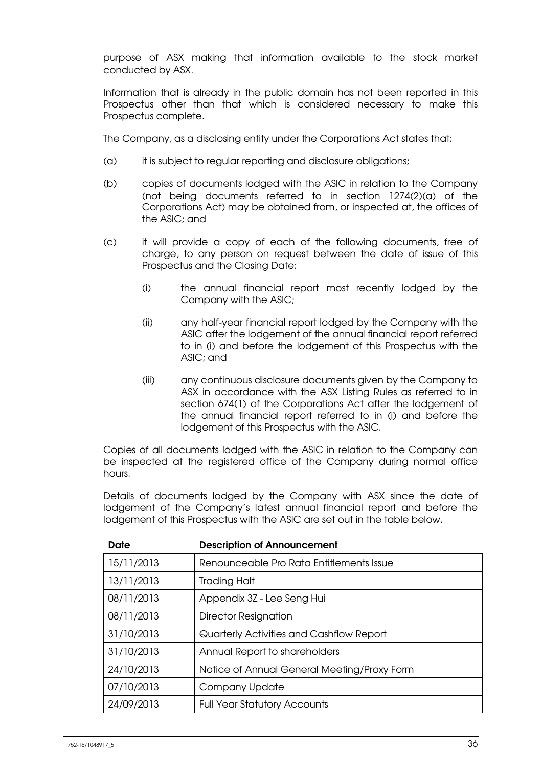purpose of ASX making that information available to the stock market conducted by ASX.

Information that is already in the public domain has not been reported in this Prospectus other than that which is considered necessary to make this Prospectus complete.

The Company, as a disclosing entity under the Corporations Act states that:

- (a) it is subject to regular reporting and disclosure obligations;
- (b) copies of documents lodged with the ASIC in relation to the Company (not being documents referred to in section 1274(2)(a) of the Corporations Act) may be obtained from, or inspected at, the offices of the ASIC; and
- (c) it will provide a copy of each of the following documents, free of charge, to any person on request between the date of issue of this Prospectus and the Closing Date:
	- (i) the annual financial report most recently lodged by the Company with the ASIC;
	- (ii) any half-year financial report lodged by the Company with the ASIC after the lodgement of the annual financial report referred to in (i) and before the lodgement of this Prospectus with the ASIC; and
	- (iii) any continuous disclosure documents given by the Company to ASX in accordance with the ASX Listing Rules as referred to in section 674(1) of the Corporations Act after the lodgement of the annual financial report referred to in (i) and before the lodgement of this Prospectus with the ASIC.

Copies of all documents lodged with the ASIC in relation to the Company can be inspected at the registered office of the Company during normal office hours.

Details of documents lodged by the Company with ASX since the date of lodgement of the Company's latest annual financial report and before the lodgement of this Prospectus with the ASIC are set out in the table below.

| Date       | <b>Description of Announcement</b>          |
|------------|---------------------------------------------|
| 15/11/2013 | Renounceable Pro Rata Entitlements Issue    |
| 13/11/2013 | <b>Trading Halt</b>                         |
| 08/11/2013 | Appendix 3Z - Lee Seng Hui                  |
| 08/11/2013 | <b>Director Resignation</b>                 |
| 31/10/2013 | Quarterly Activities and Cashflow Report    |
| 31/10/2013 | Annual Report to shareholders               |
| 24/10/2013 | Notice of Annual General Meeting/Proxy Form |
| 07/10/2013 | Company Update                              |
| 24/09/2013 | <b>Full Year Statutory Accounts</b>         |

| <b>Description of Announcement</b> |  |
|------------------------------------|--|
|------------------------------------|--|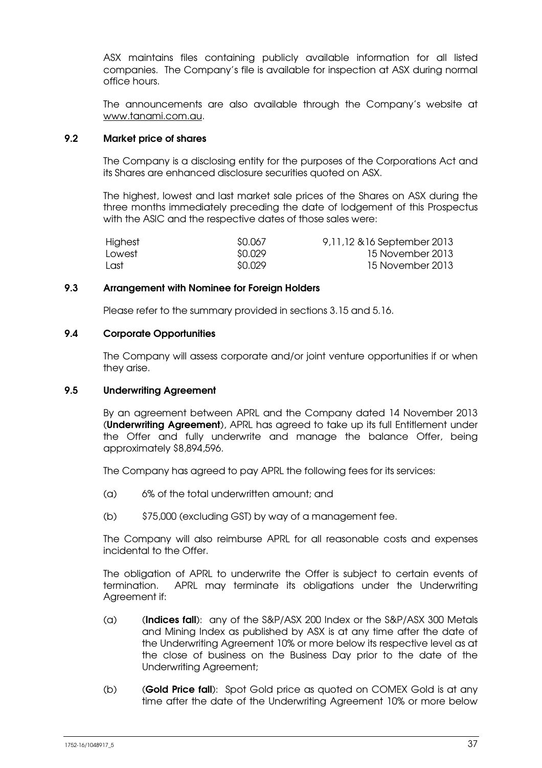ASX maintains files containing publicly available information for all listed companies. The Company's file is available for inspection at ASX during normal office hours.

The announcements are also available through the Company's website at www.tanami.com.au.

### 9.2 Market price of shares

The Company is a disclosing entity for the purposes of the Corporations Act and its Shares are enhanced disclosure securities quoted on ASX.

The highest, lowest and last market sale prices of the Shares on ASX during the three months immediately preceding the date of lodgement of this Prospectus with the ASIC and the respective dates of those sales were:

| Highest | SO.067  | 9,11,12 & 16 September 2013 |
|---------|---------|-----------------------------|
| Lowest  | SQ.029  | 15 November 2013            |
| Last    | \$0.029 | 15 November 2013            |

### 9.3 Arrangement with Nominee for Foreign Holders

Please refer to the summary provided in sections 3.15 and 5.16.

### 9.4 Corporate Opportunities

The Company will assess corporate and/or joint venture opportunities if or when they arise.

#### 9.5 Underwriting Agreement

By an agreement between APRL and the Company dated 14 November 2013 (Underwriting Agreement), APRL has agreed to take up its full Entitlement under the Offer and fully underwrite and manage the balance Offer, being approximately \$8,894,596.

The Company has agreed to pay APRL the following fees for its services:

- (a) 6% of the total underwritten amount; and
- (b) \$75,000 (excluding GST) by way of a management fee.

The Company will also reimburse APRL for all reasonable costs and expenses incidental to the Offer.

The obligation of APRL to underwrite the Offer is subject to certain events of termination. APRL may terminate its obligations under the Underwriting Agreement if:

- (a) (Indices fall): any of the S&P/ASX 200 Index or the S&P/ASX 300 Metals and Mining Index as published by ASX is at any time after the date of the Underwriting Agreement 10% or more below its respective level as at the close of business on the Business Day prior to the date of the Underwriting Agreement;
- (b) (Gold Price fall): Spot Gold price as quoted on COMEX Gold is at any time after the date of the Underwriting Agreement 10% or more below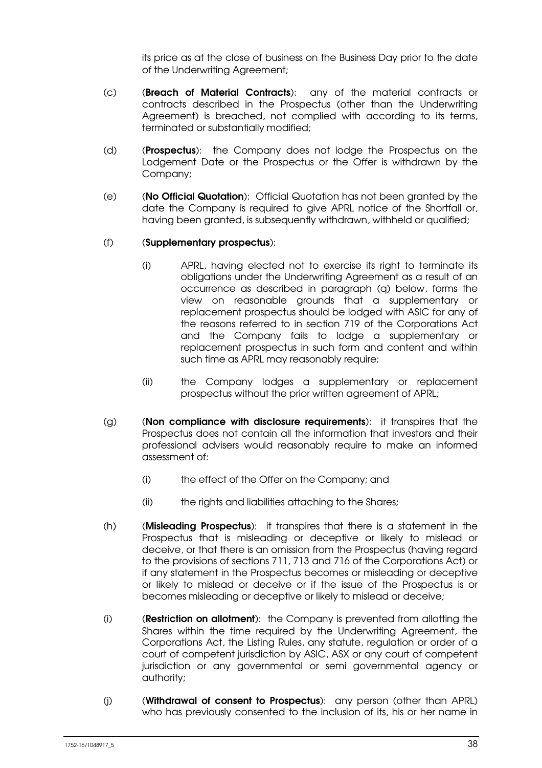its price as at the close of business on the Business Day prior to the date of the Underwriting Agreement;

- (c) (Breach of Material Contracts): any of the material contracts or contracts described in the Prospectus (other than the Underwriting Agreement) is breached, not complied with according to its terms, terminated or substantially modified;
- (d) (Prospectus): the Company does not lodge the Prospectus on the Lodgement Date or the Prospectus or the Offer is withdrawn by the Company;
- (e) (No Official Quotation): Official Quotation has not been granted by the date the Company is required to give APRL notice of the Shortfall or, having been granted, is subsequently withdrawn, withheld or qualified;

### (f) (Supplementary prospectus):

- (i) APRL, having elected not to exercise its right to terminate its obligations under the Underwriting Agreement as a result of an occurrence as described in paragraph (q) below, forms the view on reasonable grounds that a supplementary or replacement prospectus should be lodged with ASIC for any of the reasons referred to in section 719 of the Corporations Act and the Company fails to lodge a supplementary or replacement prospectus in such form and content and within such time as APRL may reasonably require;
- (ii) the Company lodges a supplementary or replacement prospectus without the prior written agreement of APRL;
- (g) (Non compliance with disclosure requirements): it transpires that the Prospectus does not contain all the information that investors and their professional advisers would reasonably require to make an informed assessment of:
	- (i) the effect of the Offer on the Company; and
	- (ii) the rights and liabilities attaching to the Shares;
- (h) (Misleading Prospectus): it transpires that there is a statement in the Prospectus that is misleading or deceptive or likely to mislead or deceive, or that there is an omission from the Prospectus (having regard to the provisions of sections 711, 713 and 716 of the Corporations Act) or if any statement in the Prospectus becomes or misleading or deceptive or likely to mislead or deceive or if the issue of the Prospectus is or becomes misleading or deceptive or likely to mislead or deceive;
- (i) (Restriction on allotment): the Company is prevented from allotting the Shares within the time required by the Underwriting Agreement, the Corporations Act, the Listing Rules, any statute, regulation or order of a court of competent jurisdiction by ASIC, ASX or any court of competent jurisdiction or any governmental or semi governmental agency or authority;
- (j) (Withdrawal of consent to Prospectus): any person (other than APRL) who has previously consented to the inclusion of its, his or her name in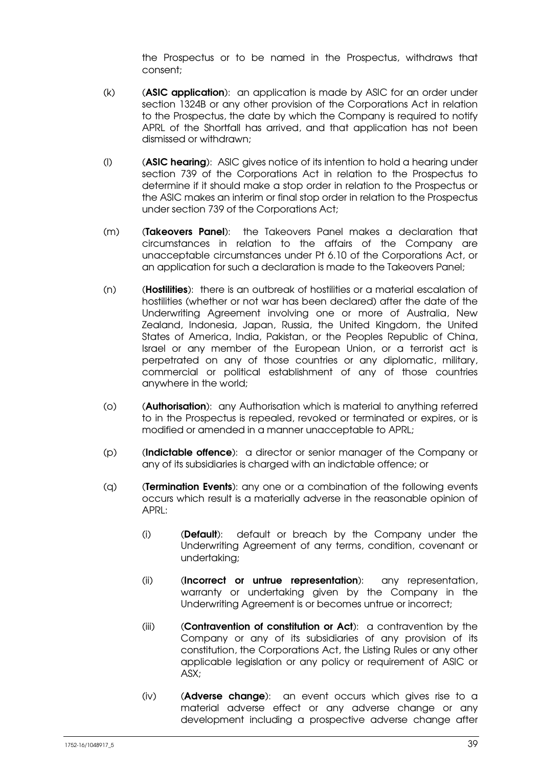the Prospectus or to be named in the Prospectus, withdraws that consent;

- (k) (ASIC application): an application is made by ASIC for an order under section 1324B or any other provision of the Corporations Act in relation to the Prospectus, the date by which the Company is required to notify APRL of the Shortfall has arrived, and that application has not been dismissed or withdrawn;
- (I) (ASIC hearing): ASIC gives notice of its intention to hold a hearing under section 739 of the Corporations Act in relation to the Prospectus to determine if it should make a stop order in relation to the Prospectus or the ASIC makes an interim or final stop order in relation to the Prospectus under section 739 of the Corporations Act;
- (m) (Takeovers Panel): the Takeovers Panel makes a declaration that circumstances in relation to the affairs of the Company are unacceptable circumstances under Pt 6.10 of the Corporations Act, or an application for such a declaration is made to the Takeovers Panel;
- (n) (Hostilities): there is an outbreak of hostilities or a material escalation of hostilities (whether or not war has been declared) after the date of the Underwriting Agreement involving one or more of Australia, New Zealand, Indonesia, Japan, Russia, the United Kingdom, the United States of America, India, Pakistan, or the Peoples Republic of China, Israel or any member of the European Union, or a terrorist act is perpetrated on any of those countries or any diplomatic, military, commercial or political establishment of any of those countries anywhere in the world;
- (o) (Authorisation): any Authorisation which is material to anything referred to in the Prospectus is repealed, revoked or terminated or expires, or is modified or amended in a manner unacceptable to APRL;
- (p) (Indictable offence): a director or senior manager of the Company or any of its subsidiaries is charged with an indictable offence; or
- (q) (Termination Events): any one or a combination of the following events occurs which result is a materially adverse in the reasonable opinion of  $APRI:$ 
	- (i) (Default): default or breach by the Company under the Underwriting Agreement of any terms, condition, covenant or undertaking;
	- (ii) (Incorrect or untrue representation): any representation, warranty or undertaking given by the Company in the Underwriting Agreement is or becomes untrue or incorrect;
	- (iii) (Contravention of constitution or Act): a contravention by the Company or any of its subsidiaries of any provision of its constitution, the Corporations Act, the Listing Rules or any other applicable legislation or any policy or requirement of ASIC or ASX;
	- (iv) (Adverse change): an event occurs which gives rise to a material adverse effect or any adverse change or any development including a prospective adverse change after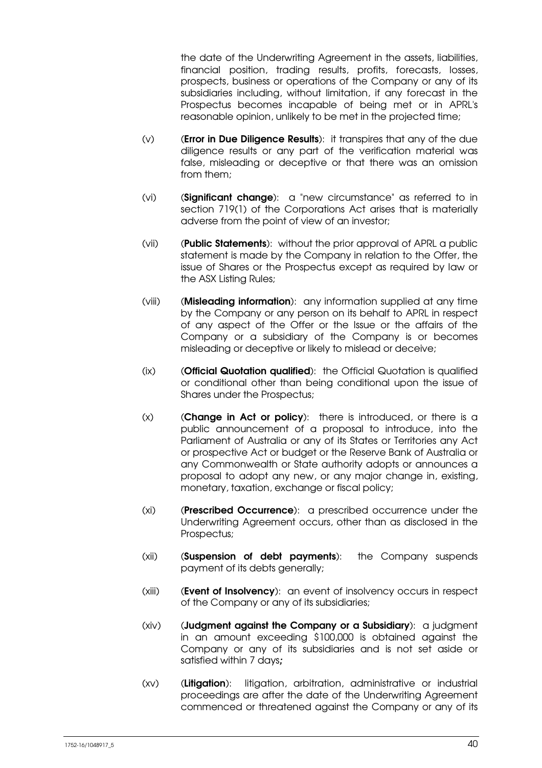the date of the Underwriting Agreement in the assets, liabilities, financial position, trading results, profits, forecasts, losses, prospects, business or operations of the Company or any of its subsidiaries including, without limitation, if any forecast in the Prospectus becomes incapable of being met or in APRL's reasonable opinion, unlikely to be met in the projected time;

- $(v)$  (Error in Due Diligence Results): it transpires that any of the due diligence results or any part of the verification material was false, misleading or deceptive or that there was an omission from them;
- (vi) (Significant change): a "new circumstance" as referred to in section 719(1) of the Corporations Act arises that is materially adverse from the point of view of an investor;
- (vii) (Public Statements): without the prior approval of APRL a public statement is made by the Company in relation to the Offer, the issue of Shares or the Prospectus except as required by law or the ASX Listing Rules;
- (viii) (Misleading information): any information supplied at any time by the Company or any person on its behalf to APRL in respect of any aspect of the Offer or the Issue or the affairs of the Company or a subsidiary of the Company is or becomes misleading or deceptive or likely to mislead or deceive;
- (ix) (Official Quotation qualified): the Official Quotation is qualified or conditional other than being conditional upon the issue of Shares under the Prospectus;
- $(x)$  (**Change in Act or policy**): there is introduced, or there is a public announcement of a proposal to introduce, into the Parliament of Australia or any of its States or Territories any Act or prospective Act or budget or the Reserve Bank of Australia or any Commonwealth or State authority adopts or announces a proposal to adopt any new, or any major change in, existing, monetary, taxation, exchange or fiscal policy;
- (xi) (Prescribed Occurrence): a prescribed occurrence under the Underwriting Agreement occurs, other than as disclosed in the Prospectus;
- (xii) (Suspension of debt payments): the Company suspends payment of its debts generally;
- (xiii) (Event of Insolvency): an event of insolvency occurs in respect of the Company or any of its subsidiaries;
- (xiv) (Judgment against the Company or a Subsidiary): a judgment in an amount exceeding \$100,000 is obtained against the Company or any of its subsidiaries and is not set aside or satisfied within 7 days;
- (xv) (Litigation): litigation, arbitration, administrative or industrial proceedings are after the date of the Underwriting Agreement commenced or threatened against the Company or any of its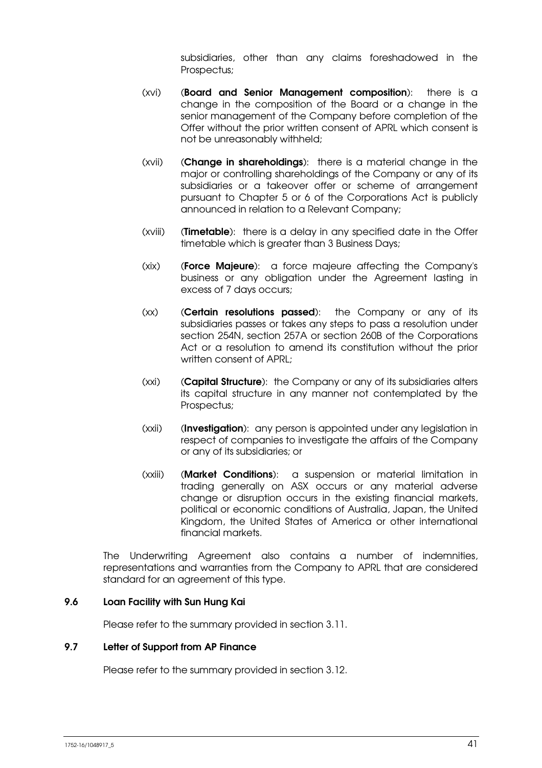subsidiaries, other than any claims foreshadowed in the Prospectus;

- (xvi) (Board and Senior Management composition): there is a change in the composition of the Board or a change in the senior management of the Company before completion of the Offer without the prior written consent of APRL which consent is not be unreasonably withheld;
- (xvii) (Change in shareholdings): there is a material change in the major or controlling shareholdings of the Company or any of its subsidiaries or a takeover offer or scheme of arrangement pursuant to Chapter 5 or 6 of the Corporations Act is publicly announced in relation to a Relevant Company;
- (xviii) (**Timetable**): there is a delay in any specified date in the Offer timetable which is greater than 3 Business Days;
- (xix) (Force Majeure): a force majeure affecting the Company's business or any obligation under the Agreement lasting in excess of 7 days occurs;
- (xx) (**Certain resolutions passed**): the Company or any of its subsidiaries passes or takes any steps to pass a resolution under section 254N, section 257A or section 260B of the Corporations Act or a resolution to amend its constitution without the prior written consent of APRL;
- (xxi) (Capital Structure): the Company or any of its subsidiaries alters its capital structure in any manner not contemplated by the Prospectus;
- (xxii) (Investigation): any person is appointed under any legislation in respect of companies to investigate the affairs of the Company or any of its subsidiaries; or
- (xxiii) (Market Conditions): a suspension or material limitation in trading generally on ASX occurs or any material adverse change or disruption occurs in the existing financial markets, political or economic conditions of Australia, Japan, the United Kingdom, the United States of America or other international financial markets.

The Underwriting Agreement also contains a number of indemnities, representations and warranties from the Company to APRL that are considered standard for an agreement of this type.

### 9.6 Loan Facility with Sun Hung Kai

Please refer to the summary provided in section 3.11.

### 9.7 Letter of Support from AP Finance

Please refer to the summary provided in section 3.12.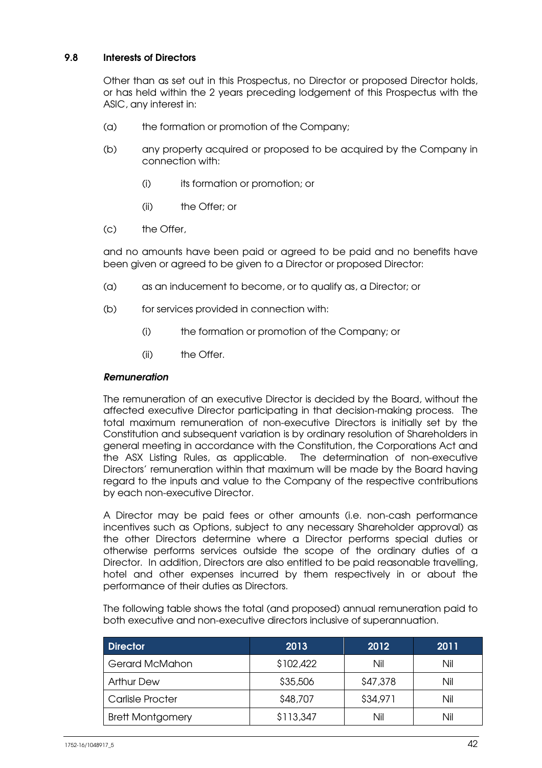### 9.8 Interests of Directors

Other than as set out in this Prospectus, no Director or proposed Director holds, or has held within the 2 years preceding lodgement of this Prospectus with the ASIC, any interest in:

- (a) the formation or promotion of the Company;
- (b) any property acquired or proposed to be acquired by the Company in connection with:
	- (i) its formation or promotion; or
	- (ii) the Offer; or
- (c) the Offer,

and no amounts have been paid or agreed to be paid and no benefits have been given or agreed to be given to a Director or proposed Director:

- (a) as an inducement to become, or to qualify as, a Director; or
- (b) for services provided in connection with:
	- (i) the formation or promotion of the Company; or
	- (ii) the Offer.

### Remuneration

The remuneration of an executive Director is decided by the Board, without the affected executive Director participating in that decision-making process. The total maximum remuneration of non-executive Directors is initially set by the Constitution and subsequent variation is by ordinary resolution of Shareholders in general meeting in accordance with the Constitution, the Corporations Act and the ASX Listing Rules, as applicable. The determination of non-executive Directors' remuneration within that maximum will be made by the Board having regard to the inputs and value to the Company of the respective contributions by each non-executive Director.

A Director may be paid fees or other amounts (i.e. non-cash performance incentives such as Options, subject to any necessary Shareholder approval) as the other Directors determine where a Director performs special duties or otherwise performs services outside the scope of the ordinary duties of a Director. In addition, Directors are also entitled to be paid reasonable travelling, hotel and other expenses incurred by them respectively in or about the performance of their duties as Directors.

The following table shows the total (and proposed) annual remuneration paid to both executive and non-executive directors inclusive of superannuation.

| <b>Director</b>         | 2013      | 2012     | 2011 |
|-------------------------|-----------|----------|------|
| Gerard McMahon          | \$102,422 | Nil      | Nil  |
| <b>Arthur Dew</b>       | \$35,506  | \$47,378 | Nil  |
| <b>Carlisle Procter</b> | \$48,707  | \$34,971 | Nil  |
| <b>Brett Montgomery</b> | \$113,347 | Nil      | Nil  |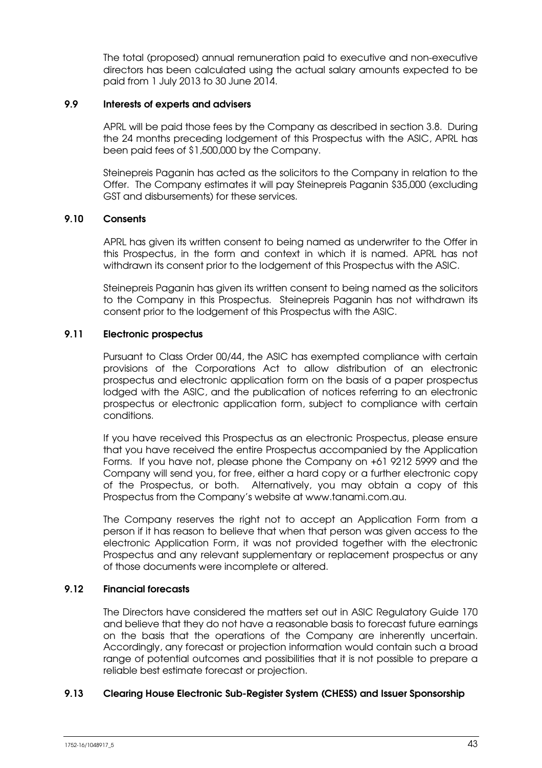The total (proposed) annual remuneration paid to executive and non-executive directors has been calculated using the actual salary amounts expected to be paid from 1 July 2013 to 30 June 2014.

### 9.9 Interests of experts and advisers

APRL will be paid those fees by the Company as described in section 3.8. During the 24 months preceding lodgement of this Prospectus with the ASIC, APRL has been paid fees of \$1,500,000 by the Company.

Steinepreis Paganin has acted as the solicitors to the Company in relation to the Offer. The Company estimates it will pay Steinepreis Paganin \$35,000 (excluding GST and disbursements) for these services.

### 9.10 Consents

APRL has given its written consent to being named as underwriter to the Offer in this Prospectus, in the form and context in which it is named. APRL has not withdrawn its consent prior to the lodgement of this Prospectus with the ASIC.

Steinepreis Paganin has given its written consent to being named as the solicitors to the Company in this Prospectus. Steinepreis Paganin has not withdrawn its consent prior to the lodgement of this Prospectus with the ASIC.

### 9.11 Electronic prospectus

Pursuant to Class Order 00/44, the ASIC has exempted compliance with certain provisions of the Corporations Act to allow distribution of an electronic prospectus and electronic application form on the basis of a paper prospectus lodged with the ASIC, and the publication of notices referring to an electronic prospectus or electronic application form, subject to compliance with certain conditions.

If you have received this Prospectus as an electronic Prospectus, please ensure that you have received the entire Prospectus accompanied by the Application Forms. If you have not, please phone the Company on +61 9212 5999 and the Company will send you, for free, either a hard copy or a further electronic copy of the Prospectus, or both. Alternatively, you may obtain a copy of this Prospectus from the Company's website at www.tanami.com.au.

The Company reserves the right not to accept an Application Form from a person if it has reason to believe that when that person was given access to the electronic Application Form, it was not provided together with the electronic Prospectus and any relevant supplementary or replacement prospectus or any of those documents were incomplete or altered.

### 9.12 Financial forecasts

The Directors have considered the matters set out in ASIC Regulatory Guide 170 and believe that they do not have a reasonable basis to forecast future earnings on the basis that the operations of the Company are inherently uncertain. Accordingly, any forecast or projection information would contain such a broad range of potential outcomes and possibilities that it is not possible to prepare a reliable best estimate forecast or projection.

### 9.13 Clearing House Electronic Sub-Register System (CHESS) and Issuer Sponsorship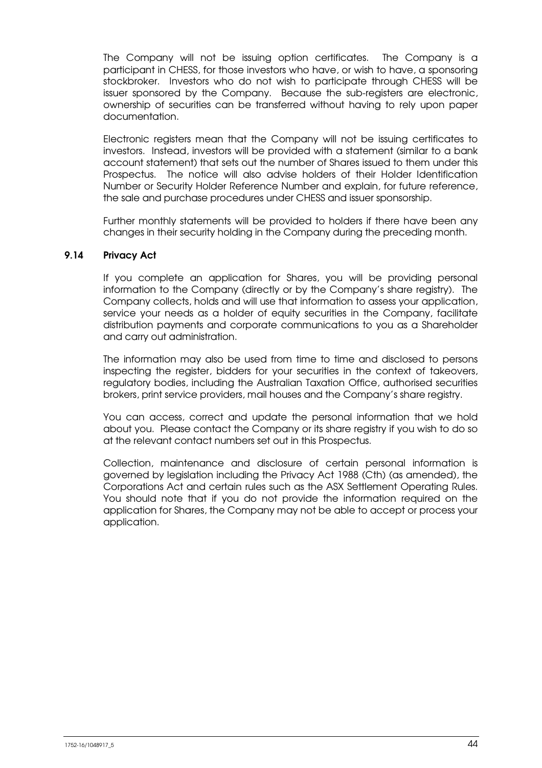The Company will not be issuing option certificates. The Company is a participant in CHESS, for those investors who have, or wish to have, a sponsoring stockbroker. Investors who do not wish to participate through CHESS will be issuer sponsored by the Company. Because the sub-registers are electronic, ownership of securities can be transferred without having to rely upon paper documentation.

Electronic registers mean that the Company will not be issuing certificates to investors. Instead, investors will be provided with a statement (similar to a bank account statement) that sets out the number of Shares issued to them under this Prospectus. The notice will also advise holders of their Holder Identification Number or Security Holder Reference Number and explain, for future reference, the sale and purchase procedures under CHESS and issuer sponsorship.

Further monthly statements will be provided to holders if there have been any changes in their security holding in the Company during the preceding month.

### 9.14 Privacy Act

If you complete an application for Shares, you will be providing personal information to the Company (directly or by the Company's share registry). The Company collects, holds and will use that information to assess your application, service your needs as a holder of equity securities in the Company, facilitate distribution payments and corporate communications to you as a Shareholder and carry out administration.

The information may also be used from time to time and disclosed to persons inspecting the register, bidders for your securities in the context of takeovers, regulatory bodies, including the Australian Taxation Office, authorised securities brokers, print service providers, mail houses and the Company's share registry.

You can access, correct and update the personal information that we hold about you. Please contact the Company or its share registry if you wish to do so at the relevant contact numbers set out in this Prospectus.

Collection, maintenance and disclosure of certain personal information is governed by legislation including the Privacy Act 1988 (Cth) (as amended), the Corporations Act and certain rules such as the ASX Settlement Operating Rules. You should note that if you do not provide the information required on the application for Shares, the Company may not be able to accept or process your application.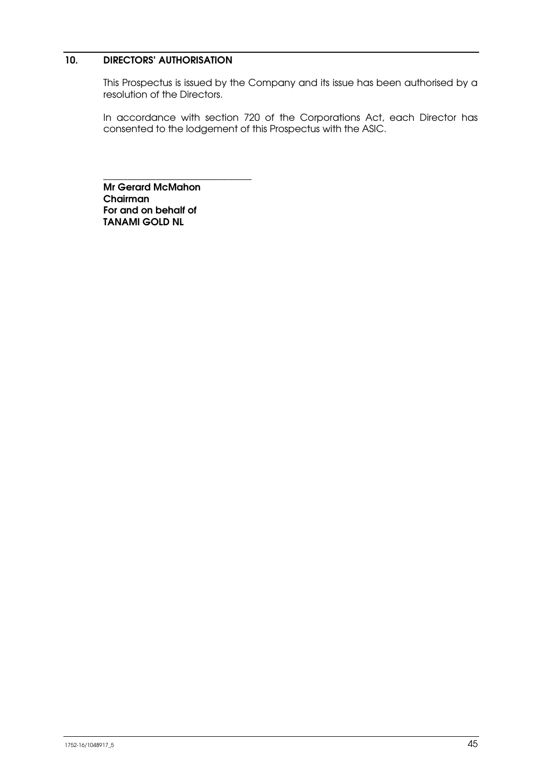### 10. DIRECTORS' AUTHORISATION

This Prospectus is issued by the Company and its issue has been authorised by a resolution of the Directors.

In accordance with section 720 of the Corporations Act, each Director has consented to the lodgement of this Prospectus with the ASIC.

Mr Gerard McMahon Chairman For and on behalf of TANAMI GOLD NL

\_\_\_\_\_\_\_\_\_\_\_\_\_\_\_\_\_\_\_\_\_\_\_\_\_\_\_\_\_\_\_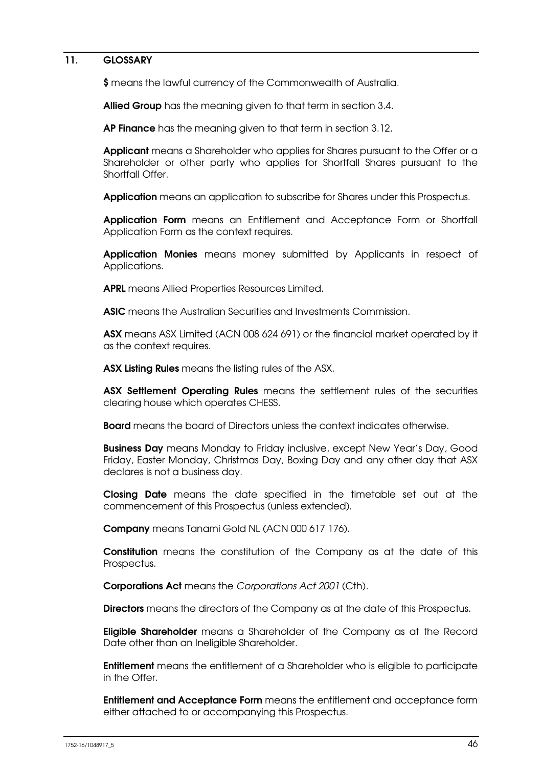### 11. GLOSSARY

\$ means the lawful currency of the Commonwealth of Australia.

Allied Group has the meaning given to that term in section 3.4.

AP Finance has the meaning given to that term in section 3.12.

Applicant means a Shareholder who applies for Shares pursuant to the Offer or a Shareholder or other party who applies for Shortfall Shares pursuant to the Shortfall Offer.

Application means an application to subscribe for Shares under this Prospectus.

Application Form means an Entitlement and Acceptance Form or Shortfall Application Form as the context requires.

Application Monies means money submitted by Applicants in respect of Applications.

APRL means Allied Properties Resources Limited.

ASIC means the Australian Securities and Investments Commission.

ASX means ASX Limited (ACN 008 624 691) or the financial market operated by it as the context requires.

ASX Listing Rules means the listing rules of the ASX.

ASX Settlement Operating Rules means the settlement rules of the securities clearing house which operates CHESS.

**Board** means the board of Directors unless the context indicates otherwise.

**Business Day** means Monday to Friday inclusive, except New Year's Day, Good Friday, Easter Monday, Christmas Day, Boxing Day and any other day that ASX declares is not a business day.

Closing Date means the date specified in the timetable set out at the commencement of this Prospectus (unless extended).

Company means Tanami Gold NL (ACN 000 617 176).

Constitution means the constitution of the Company as at the date of this Prospectus.

Corporations Act means the Corporations Act 2001 (Cth).

Directors means the directors of the Company as at the date of this Prospectus.

Eligible Shareholder means a Shareholder of the Company as at the Record Date other than an Ineligible Shareholder.

**Entitlement** means the entitlement of a Shareholder who is eligible to participate in the Offer.

Entitlement and Acceptance Form means the entitlement and acceptance form either attached to or accompanying this Prospectus.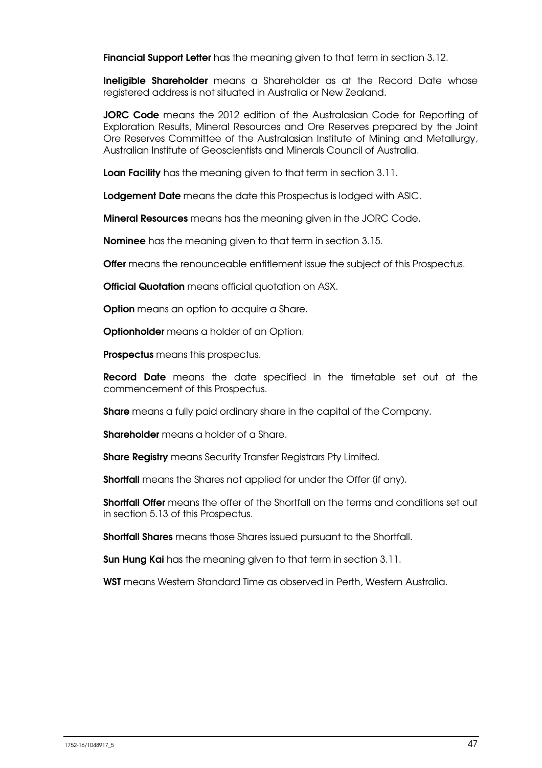**Financial Support Letter** has the meaning given to that term in section 3.12.

**Ineligible Shareholder** means a Shareholder as at the Record Date whose registered address is not situated in Australia or New Zealand.

JORC Code means the 2012 edition of the Australasian Code for Reporting of Exploration Results, Mineral Resources and Ore Reserves prepared by the Joint Ore Reserves Committee of the Australasian Institute of Mining and Metallurgy, Australian Institute of Geoscientists and Minerals Council of Australia.

Loan Facility has the meaning given to that term in section 3.11.

Lodgement Date means the date this Prospectus is lodged with ASIC.

Mineral Resources means has the meaning given in the JORC Code.

**Nominee** has the meaning given to that term in section 3.15.

**Offer** means the renounceable entitlement issue the subject of this Prospectus.

**Official Quotation** means official quotation on ASX.

**Option** means an option to acquire a Share.

**Optionholder** means a holder of an Option.

Prospectus means this prospectus.

**Record Date** means the date specified in the timetable set out at the commencement of this Prospectus.

**Share** means a fully paid ordinary share in the capital of the Company.

Shareholder means a holder of a Share.

**Share Registry** means Security Transfer Registrars Pty Limited.

**Shortfall** means the Shares not applied for under the Offer (if any).

Shortfall Offer means the offer of the Shortfall on the terms and conditions set out in section 5.13 of this Prospectus.

**Shortfall Shares** means those Shares issued pursuant to the Shortfall.

**Sun Hung Kai** has the meaning given to that term in section 3.11.

WST means Western Standard Time as observed in Perth, Western Australia.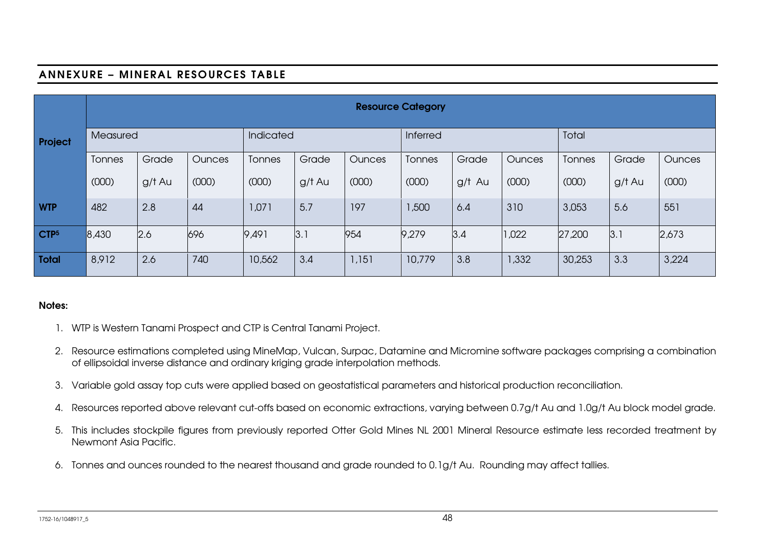## ANNEXURE – MINERAL RESOURCES TABLE

|                  | <b>Resource Category</b> |        |           |               |          |               |               |        |               |               |        |               |
|------------------|--------------------------|--------|-----------|---------------|----------|---------------|---------------|--------|---------------|---------------|--------|---------------|
| Project          | Measured                 |        | Indicated |               | Inferred |               | Total         |        |               |               |        |               |
|                  | Tonnes                   | Grade  | Ounces    | <b>Tonnes</b> | Grade    | <b>Ounces</b> | <b>Tonnes</b> | Grade  | <b>Ounces</b> | <b>Tonnes</b> | Grade  | <b>Ounces</b> |
|                  | (000)                    | g/t Au | (000)     | (000)         | g/t Au   | (000)         | (000)         | g/t Au | (000)         | (000)         | g/t Au | (000)         |
| <b>WTP</b>       | 482                      | 2.8    | 44        | 1,071         | 5.7      | 197           | 1,500         | 6.4    | 310           | 3,053         | 5.6    | 551           |
| CTP <sub>5</sub> | 8,430                    | 2.6    | 696       | 9,491         | 3.1      | 954           | 9,279         | 3.4    | 1,022         | 27,200        | 3.1    | 2,673         |
| <b>Total</b>     | 8,912                    | 2.6    | 740       | 10,562        | 3.4      | 1,151         | 10,779        | 3.8    | 1,332         | 30,253        | 3.3    | 3,224         |

#### Notes:

- 1. WTP is Western Tanami Prospect and CTP is Central Tanami Project.
- 2. Resource estimations completed using MineMap, Vulcan, Surpac, Datamine and Micromine software packages comprising a combination of ellipsoidal inverse distance and ordinary kriging grade interpolation methods.
- 3. Variable gold assay top cuts were applied based on geostatistical parameters and historical production reconciliation.
- 4. Resources reported above relevant cut-offs based on economic extractions, varying between 0.7g/t Au and 1.0g/t Au block model grade.
- 5. This includes stockpile figures from previously reported Otter Gold Mines NL 2001 Mineral Resource estimate less recorded treatment by Newmont Asia Pacific.
- 6. Tonnes and ounces rounded to the nearest thousand and grade rounded to 0.1g/t Au. Rounding may affect tallies.